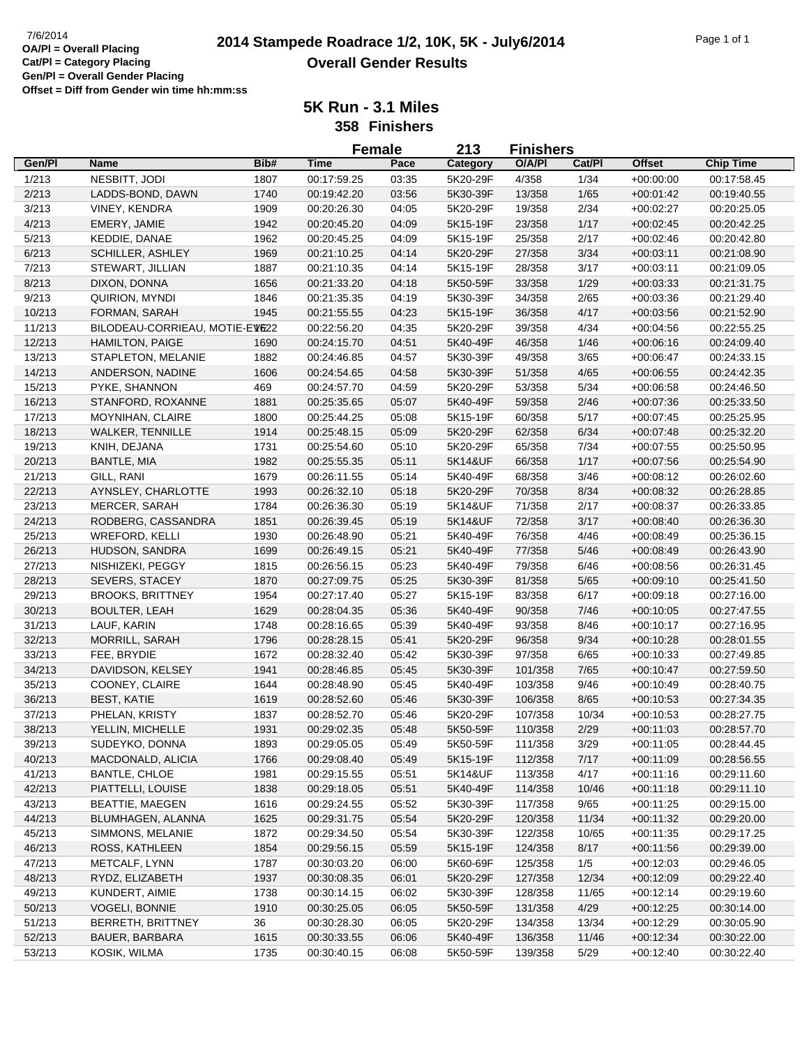# **2014 Stampede Roadrace 1/2, 10K, 5K - July6/2014** 7/6/2014 Page 1 of 1 **Overall Gender Results**

|        |                                |      | <b>Female</b> |       | 213      | <b>Finishers</b> |        |               |                  |
|--------|--------------------------------|------|---------------|-------|----------|------------------|--------|---------------|------------------|
| Gen/Pl | Name                           | Bib# | <b>Time</b>   | Pace  | Category | O/A/PI           | Cat/PI | <b>Offset</b> | <b>Chip Time</b> |
| 1/213  | NESBITT, JODI                  | 1807 | 00:17:59.25   | 03:35 | 5K20-29F | 4/358            | 1/34   | $+00:00:00$   | 00:17:58.45      |
| 2/213  | LADDS-BOND, DAWN               | 1740 | 00:19:42.20   | 03:56 | 5K30-39F | 13/358           | 1/65   | $+00:01:42$   | 00:19:40.55      |
| 3/213  | VINEY, KENDRA                  | 1909 | 00:20:26.30   | 04:05 | 5K20-29F | 19/358           | 2/34   | $+00:02:27$   | 00:20:25.05      |
| 4/213  | EMERY, JAMIE                   | 1942 | 00:20:45.20   | 04:09 | 5K15-19F | 23/358           | 1/17   | $+00:02:45$   | 00:20:42.25      |
| 5/213  | KEDDIE, DANAE                  | 1962 | 00:20:45.25   | 04:09 | 5K15-19F | 25/358           | 2/17   | $+00:02:46$   | 00:20:42.80      |
| 6/213  | SCHILLER, ASHLEY               | 1969 | 00:21:10.25   | 04:14 | 5K20-29F | 27/358           | 3/34   | $+00:03:11$   | 00:21:08.90      |
| 7/213  | STEWART, JILLIAN               | 1887 | 00:21:10.35   | 04:14 | 5K15-19F | 28/358           | 3/17   | $+00:03:11$   | 00:21:09.05      |
| 8/213  | DIXON, DONNA                   | 1656 | 00:21:33.20   | 04:18 | 5K50-59F | 33/358           | 1/29   | $+00:03:33$   | 00:21:31.75      |
| 9/213  | QUIRION, MYNDI                 | 1846 | 00:21:35.35   | 04:19 | 5K30-39F | 34/358           | 2/65   | $+00:03:36$   | 00:21:29.40      |
| 10/213 | FORMAN, SARAH                  | 1945 | 00:21:55.55   | 04:23 | 5K15-19F | 36/358           | 4/17   | $+00:03:56$   | 00:21:52.90      |
| 11/213 | BILODEAU-CORRIEAU, MOTIE-EVE22 |      | 00:22:56.20   | 04:35 | 5K20-29F | 39/358           | 4/34   | $+00:04:56$   | 00:22:55.25      |
| 12/213 | <b>HAMILTON, PAIGE</b>         | 1690 | 00:24:15.70   | 04:51 | 5K40-49F | 46/358           | 1/46   | $+00:06:16$   | 00:24:09.40      |
| 13/213 | STAPLETON, MELANIE             | 1882 | 00:24:46.85   | 04:57 | 5K30-39F | 49/358           | 3/65   | $+00:06:47$   | 00:24:33.15      |
| 14/213 | ANDERSON, NADINE               | 1606 | 00:24:54.65   | 04:58 | 5K30-39F | 51/358           | 4/65   | $+00:06:55$   | 00:24:42.35      |
| 15/213 | PYKE, SHANNON                  | 469  | 00:24:57.70   | 04:59 | 5K20-29F | 53/358           | 5/34   | $+00:06:58$   | 00:24:46.50      |
| 16/213 | STANFORD, ROXANNE              | 1881 | 00:25:35.65   | 05:07 | 5K40-49F | 59/358           | 2/46   | $+00:07:36$   | 00:25:33.50      |
|        |                                |      |               |       |          |                  |        |               | 00:25:25.95      |
| 17/213 | MOYNIHAN, CLAIRE               | 1800 | 00:25:44.25   | 05:08 | 5K15-19F | 60/358           | 5/17   | $+00:07:45$   |                  |
| 18/213 | <b>WALKER, TENNILLE</b>        | 1914 | 00:25:48.15   | 05:09 | 5K20-29F | 62/358           | 6/34   | $+00:07:48$   | 00:25:32.20      |
| 19/213 | KNIH, DEJANA                   | 1731 | 00:25:54.60   | 05:10 | 5K20-29F | 65/358           | 7/34   | $+00:07:55$   | 00:25:50.95      |
| 20/213 | BANTLE, MIA                    | 1982 | 00:25:55.35   | 05:11 | 5K14&UF  | 66/358           | 1/17   | $+00:07:56$   | 00:25:54.90      |
| 21/213 | GILL, RANI                     | 1679 | 00:26:11.55   | 05:14 | 5K40-49F | 68/358           | 3/46   | $+00:08:12$   | 00:26:02.60      |
| 22/213 | AYNSLEY, CHARLOTTE             | 1993 | 00:26:32.10   | 05:18 | 5K20-29F | 70/358           | 8/34   | $+00:08:32$   | 00:26:28.85      |
| 23/213 | <b>MERCER, SARAH</b>           | 1784 | 00:26:36.30   | 05:19 | 5K14&UF  | 71/358           | 2/17   | $+00:08:37$   | 00:26:33.85      |
| 24/213 | RODBERG, CASSANDRA             | 1851 | 00:26:39.45   | 05:19 | 5K14&UF  | 72/358           | 3/17   | $+00:08:40$   | 00:26:36.30      |
| 25/213 | WREFORD, KELLI                 | 1930 | 00:26:48.90   | 05:21 | 5K40-49F | 76/358           | 4/46   | $+00:08:49$   | 00:25:36.15      |
| 26/213 | HUDSON, SANDRA                 | 1699 | 00:26:49.15   | 05:21 | 5K40-49F | 77/358           | $5/46$ | $+00:08:49$   | 00:26:43.90      |
| 27/213 | NISHIZEKI, PEGGY               | 1815 | 00:26:56.15   | 05:23 | 5K40-49F | 79/358           | 6/46   | $+00:08:56$   | 00:26:31.45      |
| 28/213 | <b>SEVERS, STACEY</b>          | 1870 | 00:27:09.75   | 05:25 | 5K30-39F | 81/358           | $5/65$ | $+00:09:10$   | 00:25:41.50      |
| 29/213 | <b>BROOKS, BRITTNEY</b>        | 1954 | 00:27:17.40   | 05:27 | 5K15-19F | 83/358           | 6/17   | $+00:09:18$   | 00:27:16.00      |
| 30/213 | <b>BOULTER, LEAH</b>           | 1629 | 00:28:04.35   | 05:36 | 5K40-49F | 90/358           | 7/46   | $+00:10:05$   | 00:27:47.55      |
| 31/213 | LAUF, KARIN                    | 1748 | 00:28:16.65   | 05:39 | 5K40-49F | 93/358           | 8/46   | $+00:10:17$   | 00:27:16.95      |
| 32/213 | <b>MORRILL, SARAH</b>          | 1796 | 00:28:28.15   | 05:41 | 5K20-29F | 96/358           | 9/34   | $+00:10:28$   | 00:28:01.55      |
| 33/213 | FEE, BRYDIE                    | 1672 | 00:28:32.40   | 05:42 | 5K30-39F | 97/358           | 6/65   | $+00:10:33$   | 00:27:49.85      |
| 34/213 | DAVIDSON, KELSEY               | 1941 | 00:28:46.85   | 05:45 | 5K30-39F | 101/358          | 7/65   | $+00:10:47$   | 00:27:59.50      |
| 35/213 | COONEY, CLAIRE                 | 1644 | 00:28:48.90   | 05:45 | 5K40-49F | 103/358          | 9/46   | $+00:10:49$   | 00:28:40.75      |
| 36/213 | <b>BEST, KATIE</b>             | 1619 | 00:28:52.60   | 05:46 | 5K30-39F | 106/358          | 8/65   | $+00:10:53$   | 00:27:34.35      |
| 37/213 | PHELAN, KRISTY                 | 1837 | 00:28:52.70   | 05:46 | 5K20-29F | 107/358          | 10/34  | $+00:10:53$   | 00:28:27.75      |
| 38/213 | YELLIN, MICHELLE               | 1931 | 00:29:02.35   | 05:48 | 5K50-59F | 110/358          | 2/29   | $+00:11:03$   | 00:28:57.70      |
| 39/213 | SUDEYKO, DONNA                 | 1893 | 00:29:05.05   | 05:49 | 5K50-59F | 111/358          | 3/29   | $+00:11:05$   | 00:28:44.45      |
| 40/213 | MACDONALD, ALICIA              | 1766 | 00:29:08.40   | 05:49 | 5K15-19F | 112/358          | 7/17   | $+00:11:09$   | 00:28:56.55      |
| 41/213 | <b>BANTLE, CHLOE</b>           | 1981 | 00:29:15.55   | 05:51 | 5K14&UF  | 113/358          | 4/17   | $+00:11:16$   | 00:29:11.60      |
| 42/213 | PIATTELLI, LOUISE              | 1838 | 00:29:18.05   | 05:51 | 5K40-49F | 114/358          | 10/46  | $+00.11:18$   | 00:29:11.10      |
| 43/213 | <b>BEATTIE, MAEGEN</b>         | 1616 | 00:29:24.55   | 05:52 | 5K30-39F | 117/358          | 9/65   | $+00:11:25$   | 00:29:15.00      |
| 44/213 | BLUMHAGEN, ALANNA              | 1625 | 00:29:31.75   | 05:54 | 5K20-29F | 120/358          | 11/34  | $+00:11:32$   | 00:29:20.00      |
| 45/213 | SIMMONS, MELANIE               | 1872 | 00:29:34.50   | 05:54 | 5K30-39F | 122/358          | 10/65  | $+00:11:35$   | 00:29:17.25      |
| 46/213 | ROSS, KATHLEEN                 | 1854 | 00:29:56.15   | 05:59 | 5K15-19F | 124/358          | 8/17   | $+00:11:56$   | 00:29:39.00      |
| 47/213 | METCALF, LYNN                  | 1787 | 00:30:03.20   | 06:00 | 5K60-69F | 125/358          | 1/5    | $+00:12:03$   | 00:29:46.05      |
| 48/213 | RYDZ, ELIZABETH                | 1937 | 00:30:08.35   | 06:01 | 5K20-29F | 127/358          | 12/34  | $+00:12:09$   | 00:29:22.40      |
| 49/213 | KUNDERT, AIMIE                 | 1738 | 00:30:14.15   | 06:02 | 5K30-39F | 128/358          | 11/65  | $+00:12:14$   | 00:29:19.60      |
| 50/213 | <b>VOGELI, BONNIE</b>          | 1910 | 00:30:25.05   | 06:05 | 5K50-59F | 131/358          | 4/29   | $+00:12:25$   | 00:30:14.00      |
| 51/213 | BERRETH, BRITTNEY              | 36   | 00:30:28.30   | 06:05 | 5K20-29F | 134/358          | 13/34  | $+00:12:29$   | 00:30:05.90      |
| 52/213 | BAUER, BARBARA                 | 1615 | 00:30:33.55   | 06:06 | 5K40-49F | 136/358          | 11/46  | $+00:12:34$   | 00:30:22.00      |
| 53/213 | KOSIK, WILMA                   | 1735 | 00:30:40.15   | 06:08 | 5K50-59F | 139/358          | 5/29   | $+00:12:40$   | 00:30:22.40      |
|        |                                |      |               |       |          |                  |        |               |                  |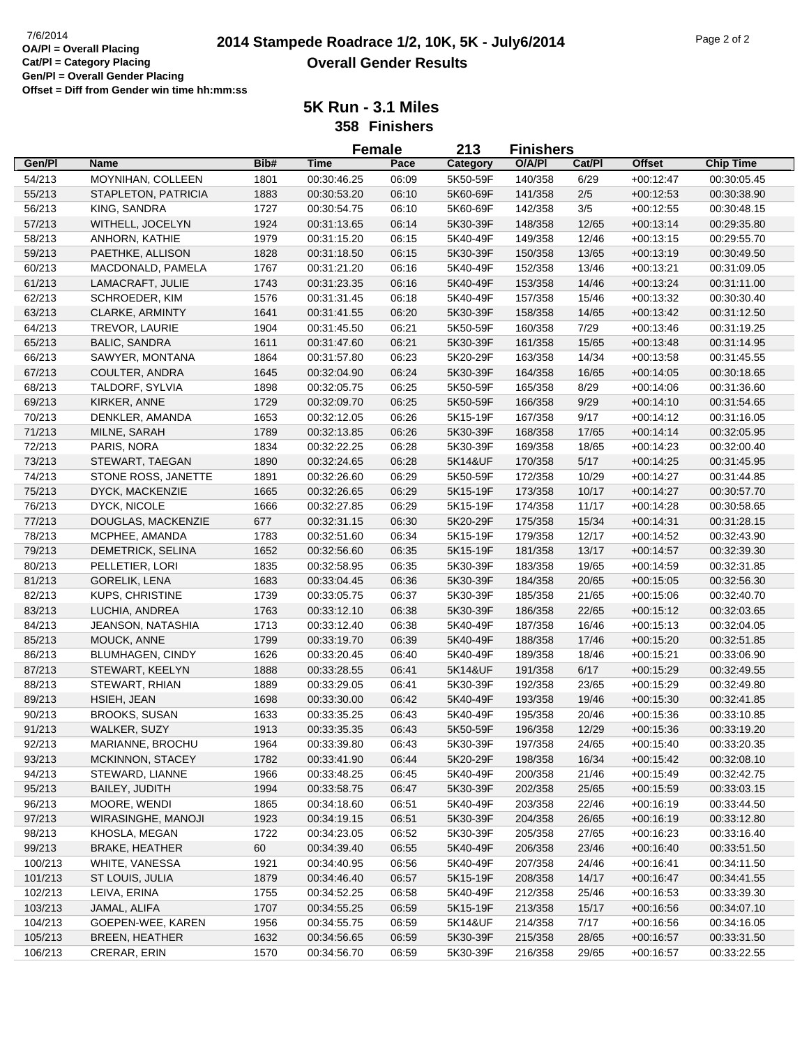| Gen/Pl<br>Bib#<br><b>Time</b><br>O/A/PI<br>Cat/Pl<br><b>Offset</b><br><b>Chip Time</b><br>Name<br>Pace<br>Category<br>54/213<br>MOYNIHAN, COLLEEN<br>06:09<br>5K50-59F<br>140/358<br>6/29<br>$+00:12:47$<br>1801<br>00:30:46.25<br>00:30:05.45<br>55/213<br>$2/5$<br>STAPLETON, PATRICIA<br>1883<br>00:30:53.20<br>06:10<br>5K60-69F<br>141/358<br>$+00:12:53$<br>00:30:38.90<br>3/5<br>56/213<br>KING, SANDRA<br>1727<br>06:10<br>5K60-69F<br>142/358<br>$+00:12:55$<br>00:30:54.75<br>00:30:48.15<br>57/213<br>WITHELL, JOCELYN<br>12/65<br>1924<br>00:31:13.65<br>06:14<br>5K30-39F<br>148/358<br>$+00:13:14$<br>00:29:35.80<br>58/213<br>1979<br>ANHORN, KATHIE<br>06:15<br>5K40-49F<br>149/358<br>12/46<br>$+00:13:15$<br>00:29:55.70<br>00:31:15.20<br>59/213<br>PAETHKE, ALLISON<br>1828<br>00:31:18.50<br>06:15<br>5K30-39F<br>150/358<br>13/65<br>$+00:13:19$<br>00:30:49.50<br>60/213<br>MACDONALD, PAMELA<br>1767<br>06:16<br>5K40-49F<br>152/358<br>13/46<br>$+00:13:21$<br>00:31:09.05<br>00:31:21.20<br>61/213<br>LAMACRAFT, JULIE<br>1743<br>00:31:23.35<br>06:16<br>5K40-49F<br>153/358<br>14/46<br>$+00:13:24$<br>00:31:11.00<br>62/213<br>SCHROEDER, KIM<br>1576<br>00:31:31.45<br>06:18<br>5K40-49F<br>157/358<br>15/46<br>$+00:13:32$<br>00:30:30.40<br>63/213<br>CLARKE, ARMINTY<br>1641<br>00:31:41.55<br>06:20<br>5K30-39F<br>158/358<br>14/65<br>$+00:13:42$<br>00:31:12.50<br>64/213<br>7/29<br>TREVOR, LAURIE<br>1904<br>06:21<br>5K50-59F<br>160/358<br>$+00:13:46$<br>00:31:45.50<br>00:31:19.25<br>65/213<br><b>BALIC, SANDRA</b><br>1611<br>00:31:47.60<br>06:21<br>5K30-39F<br>161/358<br>15/65<br>$+00:13:48$<br>00:31:14.95<br>66/213<br>14/34<br>SAWYER, MONTANA<br>1864<br>00:31:57.80<br>06:23<br>5K20-29F<br>163/358<br>$+00:13:58$<br>00:31:45.55<br>67/213<br>COULTER, ANDRA<br>1645<br>00:32:04.90<br>06:24<br>5K30-39F<br>164/358<br>16/65<br>$+00:14:05$<br>00:30:18.65<br>68/213<br>TALDORF, SYLVIA<br>1898<br>00:32:05.75<br>06:25<br>5K50-59F<br>165/358<br>8/29<br>$+00:14:06$<br>00:31:36.60<br>69/213<br>KIRKER, ANNE<br>9/29<br>1729<br>00:32:09.70<br>06:25<br>5K50-59F<br>166/358<br>$+00:14:10$<br>00:31:54.65<br>70/213<br>9/17<br>DENKLER, AMANDA<br>1653<br>00:32:12.05<br>06:26<br>5K15-19F<br>167/358<br>$+00:14:12$<br>00:31:16.05<br>71/213<br>MILNE, SARAH<br>1789<br>00:32:13.85<br>06:26<br>5K30-39F<br>168/358<br>17/65<br>$+00:14:14$<br>00:32:05.95<br>72/213<br>PARIS, NORA<br>1834<br>00:32:22.25<br>06:28<br>5K30-39F<br>169/358<br>18/65<br>$+00:14:23$<br>00:32:00.40<br>73/213<br>1890<br>5K14&UF<br>5/17<br>STEWART, TAEGAN<br>00:32:24.65<br>06:28<br>170/358<br>$+00:14:25$<br>00:31:45.95<br>74/213<br>STONE ROSS, JANETTE<br>1891<br>00:32:26.60<br>06:29<br>5K50-59F<br>172/358<br>10/29<br>$+00:14:27$<br>00:31:44.85<br>75/213<br>1665<br>173/358<br>DYCK, MACKENZIE<br>00:32:26.65<br>06:29<br>5K15-19F<br>10/17<br>$+00:14:27$<br>00:30:57.70<br>76/213<br>DYCK, NICOLE<br>1666<br>00:32:27.85<br>06:29<br>5K15-19F<br>174/358<br>11/17<br>$+00:14:28$<br>00:30:58.65<br>77/213<br>DOUGLAS, MACKENZIE<br>677<br>00:32:31.15<br>06:30<br>5K20-29F<br>175/358<br>15/34<br>$+00:14:31$<br>00:31:28.15<br>78/213<br>MCPHEE, AMANDA<br>1783<br>00:32:51.60<br>06:34<br>5K15-19F<br>179/358<br>12/17<br>$+00:14:52$<br>00:32:43.90<br>79/213<br>DEMETRICK, SELINA<br>1652<br>00:32:56.60<br>06:35<br>5K15-19F<br>181/358<br>13/17<br>$+00:14:57$<br>00:32:39.30<br>80/213<br>1835<br>06:35<br>19/65<br>PELLETIER, LORI<br>00:32:58.95<br>5K30-39F<br>183/358<br>$+00:14:59$<br>00:32:31.85 |
|-----------------------------------------------------------------------------------------------------------------------------------------------------------------------------------------------------------------------------------------------------------------------------------------------------------------------------------------------------------------------------------------------------------------------------------------------------------------------------------------------------------------------------------------------------------------------------------------------------------------------------------------------------------------------------------------------------------------------------------------------------------------------------------------------------------------------------------------------------------------------------------------------------------------------------------------------------------------------------------------------------------------------------------------------------------------------------------------------------------------------------------------------------------------------------------------------------------------------------------------------------------------------------------------------------------------------------------------------------------------------------------------------------------------------------------------------------------------------------------------------------------------------------------------------------------------------------------------------------------------------------------------------------------------------------------------------------------------------------------------------------------------------------------------------------------------------------------------------------------------------------------------------------------------------------------------------------------------------------------------------------------------------------------------------------------------------------------------------------------------------------------------------------------------------------------------------------------------------------------------------------------------------------------------------------------------------------------------------------------------------------------------------------------------------------------------------------------------------------------------------------------------------------------------------------------------------------------------------------------------------------------------------------------------------------------------------------------------------------------------------------------------------------------------------------------------------------------------------------------------------------------------------------------------------------------------------------------------------------------------------------------------------------------------------------------------------------------------------------------------------------------------------------------------------------------------------------------------------------------------------------------------------------------------------------------------------------------------------------------------------------------------------------------------------------------------------------------------------------------------------------------------------------------------------------------------------|
|                                                                                                                                                                                                                                                                                                                                                                                                                                                                                                                                                                                                                                                                                                                                                                                                                                                                                                                                                                                                                                                                                                                                                                                                                                                                                                                                                                                                                                                                                                                                                                                                                                                                                                                                                                                                                                                                                                                                                                                                                                                                                                                                                                                                                                                                                                                                                                                                                                                                                                                                                                                                                                                                                                                                                                                                                                                                                                                                                                                                                                                                                                                                                                                                                                                                                                                                                                                                                                                                                                                                                                       |
|                                                                                                                                                                                                                                                                                                                                                                                                                                                                                                                                                                                                                                                                                                                                                                                                                                                                                                                                                                                                                                                                                                                                                                                                                                                                                                                                                                                                                                                                                                                                                                                                                                                                                                                                                                                                                                                                                                                                                                                                                                                                                                                                                                                                                                                                                                                                                                                                                                                                                                                                                                                                                                                                                                                                                                                                                                                                                                                                                                                                                                                                                                                                                                                                                                                                                                                                                                                                                                                                                                                                                                       |
|                                                                                                                                                                                                                                                                                                                                                                                                                                                                                                                                                                                                                                                                                                                                                                                                                                                                                                                                                                                                                                                                                                                                                                                                                                                                                                                                                                                                                                                                                                                                                                                                                                                                                                                                                                                                                                                                                                                                                                                                                                                                                                                                                                                                                                                                                                                                                                                                                                                                                                                                                                                                                                                                                                                                                                                                                                                                                                                                                                                                                                                                                                                                                                                                                                                                                                                                                                                                                                                                                                                                                                       |
|                                                                                                                                                                                                                                                                                                                                                                                                                                                                                                                                                                                                                                                                                                                                                                                                                                                                                                                                                                                                                                                                                                                                                                                                                                                                                                                                                                                                                                                                                                                                                                                                                                                                                                                                                                                                                                                                                                                                                                                                                                                                                                                                                                                                                                                                                                                                                                                                                                                                                                                                                                                                                                                                                                                                                                                                                                                                                                                                                                                                                                                                                                                                                                                                                                                                                                                                                                                                                                                                                                                                                                       |
|                                                                                                                                                                                                                                                                                                                                                                                                                                                                                                                                                                                                                                                                                                                                                                                                                                                                                                                                                                                                                                                                                                                                                                                                                                                                                                                                                                                                                                                                                                                                                                                                                                                                                                                                                                                                                                                                                                                                                                                                                                                                                                                                                                                                                                                                                                                                                                                                                                                                                                                                                                                                                                                                                                                                                                                                                                                                                                                                                                                                                                                                                                                                                                                                                                                                                                                                                                                                                                                                                                                                                                       |
|                                                                                                                                                                                                                                                                                                                                                                                                                                                                                                                                                                                                                                                                                                                                                                                                                                                                                                                                                                                                                                                                                                                                                                                                                                                                                                                                                                                                                                                                                                                                                                                                                                                                                                                                                                                                                                                                                                                                                                                                                                                                                                                                                                                                                                                                                                                                                                                                                                                                                                                                                                                                                                                                                                                                                                                                                                                                                                                                                                                                                                                                                                                                                                                                                                                                                                                                                                                                                                                                                                                                                                       |
|                                                                                                                                                                                                                                                                                                                                                                                                                                                                                                                                                                                                                                                                                                                                                                                                                                                                                                                                                                                                                                                                                                                                                                                                                                                                                                                                                                                                                                                                                                                                                                                                                                                                                                                                                                                                                                                                                                                                                                                                                                                                                                                                                                                                                                                                                                                                                                                                                                                                                                                                                                                                                                                                                                                                                                                                                                                                                                                                                                                                                                                                                                                                                                                                                                                                                                                                                                                                                                                                                                                                                                       |
|                                                                                                                                                                                                                                                                                                                                                                                                                                                                                                                                                                                                                                                                                                                                                                                                                                                                                                                                                                                                                                                                                                                                                                                                                                                                                                                                                                                                                                                                                                                                                                                                                                                                                                                                                                                                                                                                                                                                                                                                                                                                                                                                                                                                                                                                                                                                                                                                                                                                                                                                                                                                                                                                                                                                                                                                                                                                                                                                                                                                                                                                                                                                                                                                                                                                                                                                                                                                                                                                                                                                                                       |
|                                                                                                                                                                                                                                                                                                                                                                                                                                                                                                                                                                                                                                                                                                                                                                                                                                                                                                                                                                                                                                                                                                                                                                                                                                                                                                                                                                                                                                                                                                                                                                                                                                                                                                                                                                                                                                                                                                                                                                                                                                                                                                                                                                                                                                                                                                                                                                                                                                                                                                                                                                                                                                                                                                                                                                                                                                                                                                                                                                                                                                                                                                                                                                                                                                                                                                                                                                                                                                                                                                                                                                       |
|                                                                                                                                                                                                                                                                                                                                                                                                                                                                                                                                                                                                                                                                                                                                                                                                                                                                                                                                                                                                                                                                                                                                                                                                                                                                                                                                                                                                                                                                                                                                                                                                                                                                                                                                                                                                                                                                                                                                                                                                                                                                                                                                                                                                                                                                                                                                                                                                                                                                                                                                                                                                                                                                                                                                                                                                                                                                                                                                                                                                                                                                                                                                                                                                                                                                                                                                                                                                                                                                                                                                                                       |
|                                                                                                                                                                                                                                                                                                                                                                                                                                                                                                                                                                                                                                                                                                                                                                                                                                                                                                                                                                                                                                                                                                                                                                                                                                                                                                                                                                                                                                                                                                                                                                                                                                                                                                                                                                                                                                                                                                                                                                                                                                                                                                                                                                                                                                                                                                                                                                                                                                                                                                                                                                                                                                                                                                                                                                                                                                                                                                                                                                                                                                                                                                                                                                                                                                                                                                                                                                                                                                                                                                                                                                       |
|                                                                                                                                                                                                                                                                                                                                                                                                                                                                                                                                                                                                                                                                                                                                                                                                                                                                                                                                                                                                                                                                                                                                                                                                                                                                                                                                                                                                                                                                                                                                                                                                                                                                                                                                                                                                                                                                                                                                                                                                                                                                                                                                                                                                                                                                                                                                                                                                                                                                                                                                                                                                                                                                                                                                                                                                                                                                                                                                                                                                                                                                                                                                                                                                                                                                                                                                                                                                                                                                                                                                                                       |
|                                                                                                                                                                                                                                                                                                                                                                                                                                                                                                                                                                                                                                                                                                                                                                                                                                                                                                                                                                                                                                                                                                                                                                                                                                                                                                                                                                                                                                                                                                                                                                                                                                                                                                                                                                                                                                                                                                                                                                                                                                                                                                                                                                                                                                                                                                                                                                                                                                                                                                                                                                                                                                                                                                                                                                                                                                                                                                                                                                                                                                                                                                                                                                                                                                                                                                                                                                                                                                                                                                                                                                       |
|                                                                                                                                                                                                                                                                                                                                                                                                                                                                                                                                                                                                                                                                                                                                                                                                                                                                                                                                                                                                                                                                                                                                                                                                                                                                                                                                                                                                                                                                                                                                                                                                                                                                                                                                                                                                                                                                                                                                                                                                                                                                                                                                                                                                                                                                                                                                                                                                                                                                                                                                                                                                                                                                                                                                                                                                                                                                                                                                                                                                                                                                                                                                                                                                                                                                                                                                                                                                                                                                                                                                                                       |
|                                                                                                                                                                                                                                                                                                                                                                                                                                                                                                                                                                                                                                                                                                                                                                                                                                                                                                                                                                                                                                                                                                                                                                                                                                                                                                                                                                                                                                                                                                                                                                                                                                                                                                                                                                                                                                                                                                                                                                                                                                                                                                                                                                                                                                                                                                                                                                                                                                                                                                                                                                                                                                                                                                                                                                                                                                                                                                                                                                                                                                                                                                                                                                                                                                                                                                                                                                                                                                                                                                                                                                       |
|                                                                                                                                                                                                                                                                                                                                                                                                                                                                                                                                                                                                                                                                                                                                                                                                                                                                                                                                                                                                                                                                                                                                                                                                                                                                                                                                                                                                                                                                                                                                                                                                                                                                                                                                                                                                                                                                                                                                                                                                                                                                                                                                                                                                                                                                                                                                                                                                                                                                                                                                                                                                                                                                                                                                                                                                                                                                                                                                                                                                                                                                                                                                                                                                                                                                                                                                                                                                                                                                                                                                                                       |
|                                                                                                                                                                                                                                                                                                                                                                                                                                                                                                                                                                                                                                                                                                                                                                                                                                                                                                                                                                                                                                                                                                                                                                                                                                                                                                                                                                                                                                                                                                                                                                                                                                                                                                                                                                                                                                                                                                                                                                                                                                                                                                                                                                                                                                                                                                                                                                                                                                                                                                                                                                                                                                                                                                                                                                                                                                                                                                                                                                                                                                                                                                                                                                                                                                                                                                                                                                                                                                                                                                                                                                       |
|                                                                                                                                                                                                                                                                                                                                                                                                                                                                                                                                                                                                                                                                                                                                                                                                                                                                                                                                                                                                                                                                                                                                                                                                                                                                                                                                                                                                                                                                                                                                                                                                                                                                                                                                                                                                                                                                                                                                                                                                                                                                                                                                                                                                                                                                                                                                                                                                                                                                                                                                                                                                                                                                                                                                                                                                                                                                                                                                                                                                                                                                                                                                                                                                                                                                                                                                                                                                                                                                                                                                                                       |
|                                                                                                                                                                                                                                                                                                                                                                                                                                                                                                                                                                                                                                                                                                                                                                                                                                                                                                                                                                                                                                                                                                                                                                                                                                                                                                                                                                                                                                                                                                                                                                                                                                                                                                                                                                                                                                                                                                                                                                                                                                                                                                                                                                                                                                                                                                                                                                                                                                                                                                                                                                                                                                                                                                                                                                                                                                                                                                                                                                                                                                                                                                                                                                                                                                                                                                                                                                                                                                                                                                                                                                       |
|                                                                                                                                                                                                                                                                                                                                                                                                                                                                                                                                                                                                                                                                                                                                                                                                                                                                                                                                                                                                                                                                                                                                                                                                                                                                                                                                                                                                                                                                                                                                                                                                                                                                                                                                                                                                                                                                                                                                                                                                                                                                                                                                                                                                                                                                                                                                                                                                                                                                                                                                                                                                                                                                                                                                                                                                                                                                                                                                                                                                                                                                                                                                                                                                                                                                                                                                                                                                                                                                                                                                                                       |
|                                                                                                                                                                                                                                                                                                                                                                                                                                                                                                                                                                                                                                                                                                                                                                                                                                                                                                                                                                                                                                                                                                                                                                                                                                                                                                                                                                                                                                                                                                                                                                                                                                                                                                                                                                                                                                                                                                                                                                                                                                                                                                                                                                                                                                                                                                                                                                                                                                                                                                                                                                                                                                                                                                                                                                                                                                                                                                                                                                                                                                                                                                                                                                                                                                                                                                                                                                                                                                                                                                                                                                       |
|                                                                                                                                                                                                                                                                                                                                                                                                                                                                                                                                                                                                                                                                                                                                                                                                                                                                                                                                                                                                                                                                                                                                                                                                                                                                                                                                                                                                                                                                                                                                                                                                                                                                                                                                                                                                                                                                                                                                                                                                                                                                                                                                                                                                                                                                                                                                                                                                                                                                                                                                                                                                                                                                                                                                                                                                                                                                                                                                                                                                                                                                                                                                                                                                                                                                                                                                                                                                                                                                                                                                                                       |
|                                                                                                                                                                                                                                                                                                                                                                                                                                                                                                                                                                                                                                                                                                                                                                                                                                                                                                                                                                                                                                                                                                                                                                                                                                                                                                                                                                                                                                                                                                                                                                                                                                                                                                                                                                                                                                                                                                                                                                                                                                                                                                                                                                                                                                                                                                                                                                                                                                                                                                                                                                                                                                                                                                                                                                                                                                                                                                                                                                                                                                                                                                                                                                                                                                                                                                                                                                                                                                                                                                                                                                       |
|                                                                                                                                                                                                                                                                                                                                                                                                                                                                                                                                                                                                                                                                                                                                                                                                                                                                                                                                                                                                                                                                                                                                                                                                                                                                                                                                                                                                                                                                                                                                                                                                                                                                                                                                                                                                                                                                                                                                                                                                                                                                                                                                                                                                                                                                                                                                                                                                                                                                                                                                                                                                                                                                                                                                                                                                                                                                                                                                                                                                                                                                                                                                                                                                                                                                                                                                                                                                                                                                                                                                                                       |
|                                                                                                                                                                                                                                                                                                                                                                                                                                                                                                                                                                                                                                                                                                                                                                                                                                                                                                                                                                                                                                                                                                                                                                                                                                                                                                                                                                                                                                                                                                                                                                                                                                                                                                                                                                                                                                                                                                                                                                                                                                                                                                                                                                                                                                                                                                                                                                                                                                                                                                                                                                                                                                                                                                                                                                                                                                                                                                                                                                                                                                                                                                                                                                                                                                                                                                                                                                                                                                                                                                                                                                       |
|                                                                                                                                                                                                                                                                                                                                                                                                                                                                                                                                                                                                                                                                                                                                                                                                                                                                                                                                                                                                                                                                                                                                                                                                                                                                                                                                                                                                                                                                                                                                                                                                                                                                                                                                                                                                                                                                                                                                                                                                                                                                                                                                                                                                                                                                                                                                                                                                                                                                                                                                                                                                                                                                                                                                                                                                                                                                                                                                                                                                                                                                                                                                                                                                                                                                                                                                                                                                                                                                                                                                                                       |
|                                                                                                                                                                                                                                                                                                                                                                                                                                                                                                                                                                                                                                                                                                                                                                                                                                                                                                                                                                                                                                                                                                                                                                                                                                                                                                                                                                                                                                                                                                                                                                                                                                                                                                                                                                                                                                                                                                                                                                                                                                                                                                                                                                                                                                                                                                                                                                                                                                                                                                                                                                                                                                                                                                                                                                                                                                                                                                                                                                                                                                                                                                                                                                                                                                                                                                                                                                                                                                                                                                                                                                       |
|                                                                                                                                                                                                                                                                                                                                                                                                                                                                                                                                                                                                                                                                                                                                                                                                                                                                                                                                                                                                                                                                                                                                                                                                                                                                                                                                                                                                                                                                                                                                                                                                                                                                                                                                                                                                                                                                                                                                                                                                                                                                                                                                                                                                                                                                                                                                                                                                                                                                                                                                                                                                                                                                                                                                                                                                                                                                                                                                                                                                                                                                                                                                                                                                                                                                                                                                                                                                                                                                                                                                                                       |
|                                                                                                                                                                                                                                                                                                                                                                                                                                                                                                                                                                                                                                                                                                                                                                                                                                                                                                                                                                                                                                                                                                                                                                                                                                                                                                                                                                                                                                                                                                                                                                                                                                                                                                                                                                                                                                                                                                                                                                                                                                                                                                                                                                                                                                                                                                                                                                                                                                                                                                                                                                                                                                                                                                                                                                                                                                                                                                                                                                                                                                                                                                                                                                                                                                                                                                                                                                                                                                                                                                                                                                       |
| 81/213<br>1683<br>20/65<br><b>GORELIK, LENA</b><br>00:33:04.45<br>06:36<br>5K30-39F<br>184/358<br>$+00:15:05$<br>00:32:56.30                                                                                                                                                                                                                                                                                                                                                                                                                                                                                                                                                                                                                                                                                                                                                                                                                                                                                                                                                                                                                                                                                                                                                                                                                                                                                                                                                                                                                                                                                                                                                                                                                                                                                                                                                                                                                                                                                                                                                                                                                                                                                                                                                                                                                                                                                                                                                                                                                                                                                                                                                                                                                                                                                                                                                                                                                                                                                                                                                                                                                                                                                                                                                                                                                                                                                                                                                                                                                                          |
| 82/213<br><b>KUPS, CHRISTINE</b><br>1739<br>00:33:05.75<br>06:37<br>5K30-39F<br>185/358<br>21/65<br>$+00:15:06$<br>00:32:40.70                                                                                                                                                                                                                                                                                                                                                                                                                                                                                                                                                                                                                                                                                                                                                                                                                                                                                                                                                                                                                                                                                                                                                                                                                                                                                                                                                                                                                                                                                                                                                                                                                                                                                                                                                                                                                                                                                                                                                                                                                                                                                                                                                                                                                                                                                                                                                                                                                                                                                                                                                                                                                                                                                                                                                                                                                                                                                                                                                                                                                                                                                                                                                                                                                                                                                                                                                                                                                                        |
| 83/213<br>1763<br>186/358<br>22/65<br>LUCHIA, ANDREA<br>00:33:12.10<br>06:38<br>5K30-39F<br>$+00:15:12$<br>00:32:03.65                                                                                                                                                                                                                                                                                                                                                                                                                                                                                                                                                                                                                                                                                                                                                                                                                                                                                                                                                                                                                                                                                                                                                                                                                                                                                                                                                                                                                                                                                                                                                                                                                                                                                                                                                                                                                                                                                                                                                                                                                                                                                                                                                                                                                                                                                                                                                                                                                                                                                                                                                                                                                                                                                                                                                                                                                                                                                                                                                                                                                                                                                                                                                                                                                                                                                                                                                                                                                                                |
| 5K40-49F<br>84/213<br>JEANSON, NATASHIA<br>1713<br>00:33:12.40<br>06:38<br>187/358<br>16/46<br>$+00:15:13$<br>00:32:04.05                                                                                                                                                                                                                                                                                                                                                                                                                                                                                                                                                                                                                                                                                                                                                                                                                                                                                                                                                                                                                                                                                                                                                                                                                                                                                                                                                                                                                                                                                                                                                                                                                                                                                                                                                                                                                                                                                                                                                                                                                                                                                                                                                                                                                                                                                                                                                                                                                                                                                                                                                                                                                                                                                                                                                                                                                                                                                                                                                                                                                                                                                                                                                                                                                                                                                                                                                                                                                                             |
| 85/213<br>MOUCK, ANNE<br>1799<br>5K40-49F<br>00:33:19.70<br>06:39<br>188/358<br>17/46<br>$+00:15:20$<br>00:32:51.85                                                                                                                                                                                                                                                                                                                                                                                                                                                                                                                                                                                                                                                                                                                                                                                                                                                                                                                                                                                                                                                                                                                                                                                                                                                                                                                                                                                                                                                                                                                                                                                                                                                                                                                                                                                                                                                                                                                                                                                                                                                                                                                                                                                                                                                                                                                                                                                                                                                                                                                                                                                                                                                                                                                                                                                                                                                                                                                                                                                                                                                                                                                                                                                                                                                                                                                                                                                                                                                   |
| 5K40-49F<br>86/213<br><b>BLUMHAGEN, CINDY</b><br>1626<br>00:33:20.45<br>06:40<br>189/358<br>18/46<br>$+00:15:21$<br>00:33:06.90                                                                                                                                                                                                                                                                                                                                                                                                                                                                                                                                                                                                                                                                                                                                                                                                                                                                                                                                                                                                                                                                                                                                                                                                                                                                                                                                                                                                                                                                                                                                                                                                                                                                                                                                                                                                                                                                                                                                                                                                                                                                                                                                                                                                                                                                                                                                                                                                                                                                                                                                                                                                                                                                                                                                                                                                                                                                                                                                                                                                                                                                                                                                                                                                                                                                                                                                                                                                                                       |
| 87/213<br>1888<br>6/17<br>00:33:28.55<br>06:41<br>5K14&UF<br>191/358<br>$+00:15:29$<br>00:32:49.55<br>STEWART, KEELYN                                                                                                                                                                                                                                                                                                                                                                                                                                                                                                                                                                                                                                                                                                                                                                                                                                                                                                                                                                                                                                                                                                                                                                                                                                                                                                                                                                                                                                                                                                                                                                                                                                                                                                                                                                                                                                                                                                                                                                                                                                                                                                                                                                                                                                                                                                                                                                                                                                                                                                                                                                                                                                                                                                                                                                                                                                                                                                                                                                                                                                                                                                                                                                                                                                                                                                                                                                                                                                                 |
| 23/65<br>88/213<br>STEWART, RHIAN<br>1889<br>00:33:29.05<br>06:41<br>5K30-39F<br>192/358<br>$+00:15:29$<br>00:32:49.80                                                                                                                                                                                                                                                                                                                                                                                                                                                                                                                                                                                                                                                                                                                                                                                                                                                                                                                                                                                                                                                                                                                                                                                                                                                                                                                                                                                                                                                                                                                                                                                                                                                                                                                                                                                                                                                                                                                                                                                                                                                                                                                                                                                                                                                                                                                                                                                                                                                                                                                                                                                                                                                                                                                                                                                                                                                                                                                                                                                                                                                                                                                                                                                                                                                                                                                                                                                                                                                |
| 89/213<br>HSIEH, JEAN<br>1698<br>00:33:30.00<br>06:42<br>5K40-49F<br>193/358<br>19/46<br>$+00:15:30$<br>00:32:41.85                                                                                                                                                                                                                                                                                                                                                                                                                                                                                                                                                                                                                                                                                                                                                                                                                                                                                                                                                                                                                                                                                                                                                                                                                                                                                                                                                                                                                                                                                                                                                                                                                                                                                                                                                                                                                                                                                                                                                                                                                                                                                                                                                                                                                                                                                                                                                                                                                                                                                                                                                                                                                                                                                                                                                                                                                                                                                                                                                                                                                                                                                                                                                                                                                                                                                                                                                                                                                                                   |
| 90/213<br><b>BROOKS, SUSAN</b><br>1633<br>00:33:35.25<br>06:43<br>5K40-49F<br>195/358<br>20/46<br>$+00:15:36$<br>00:33:10.85                                                                                                                                                                                                                                                                                                                                                                                                                                                                                                                                                                                                                                                                                                                                                                                                                                                                                                                                                                                                                                                                                                                                                                                                                                                                                                                                                                                                                                                                                                                                                                                                                                                                                                                                                                                                                                                                                                                                                                                                                                                                                                                                                                                                                                                                                                                                                                                                                                                                                                                                                                                                                                                                                                                                                                                                                                                                                                                                                                                                                                                                                                                                                                                                                                                                                                                                                                                                                                          |
| 91/213<br>WALKER, SUZY<br>1913<br>5K50-59F<br>196/358<br>12/29<br>00:33:35.35<br>06:43<br>$+00:15:36$<br>00:33:19.20                                                                                                                                                                                                                                                                                                                                                                                                                                                                                                                                                                                                                                                                                                                                                                                                                                                                                                                                                                                                                                                                                                                                                                                                                                                                                                                                                                                                                                                                                                                                                                                                                                                                                                                                                                                                                                                                                                                                                                                                                                                                                                                                                                                                                                                                                                                                                                                                                                                                                                                                                                                                                                                                                                                                                                                                                                                                                                                                                                                                                                                                                                                                                                                                                                                                                                                                                                                                                                                  |
| 92/213<br>MARIANNE, BROCHU<br>1964<br>00:33:39.80<br>06:43<br>5K30-39F<br>197/358<br>24/65<br>$+00:15:40$<br>00:33:20.35                                                                                                                                                                                                                                                                                                                                                                                                                                                                                                                                                                                                                                                                                                                                                                                                                                                                                                                                                                                                                                                                                                                                                                                                                                                                                                                                                                                                                                                                                                                                                                                                                                                                                                                                                                                                                                                                                                                                                                                                                                                                                                                                                                                                                                                                                                                                                                                                                                                                                                                                                                                                                                                                                                                                                                                                                                                                                                                                                                                                                                                                                                                                                                                                                                                                                                                                                                                                                                              |
| 93/213<br>MCKINNON, STACEY<br>1782<br>00:33:41.90<br>06:44<br>5K20-29F<br>198/358<br>16/34<br>$+00:15:42$<br>00:32:08.10                                                                                                                                                                                                                                                                                                                                                                                                                                                                                                                                                                                                                                                                                                                                                                                                                                                                                                                                                                                                                                                                                                                                                                                                                                                                                                                                                                                                                                                                                                                                                                                                                                                                                                                                                                                                                                                                                                                                                                                                                                                                                                                                                                                                                                                                                                                                                                                                                                                                                                                                                                                                                                                                                                                                                                                                                                                                                                                                                                                                                                                                                                                                                                                                                                                                                                                                                                                                                                              |
| 94/213<br>STEWARD, LIANNE<br>1966<br>00:33:48.25<br>06:45<br>5K40-49F<br>200/358<br>21/46<br>$+00:15:49$<br>00:32:42.75                                                                                                                                                                                                                                                                                                                                                                                                                                                                                                                                                                                                                                                                                                                                                                                                                                                                                                                                                                                                                                                                                                                                                                                                                                                                                                                                                                                                                                                                                                                                                                                                                                                                                                                                                                                                                                                                                                                                                                                                                                                                                                                                                                                                                                                                                                                                                                                                                                                                                                                                                                                                                                                                                                                                                                                                                                                                                                                                                                                                                                                                                                                                                                                                                                                                                                                                                                                                                                               |
| 95/213<br>BAILEY, JUDITH<br>1994<br>00:33:58.75<br>5K30-39F<br>202/358<br>25/65<br>$+00:15:59$<br>00:33:03.15<br>06:47                                                                                                                                                                                                                                                                                                                                                                                                                                                                                                                                                                                                                                                                                                                                                                                                                                                                                                                                                                                                                                                                                                                                                                                                                                                                                                                                                                                                                                                                                                                                                                                                                                                                                                                                                                                                                                                                                                                                                                                                                                                                                                                                                                                                                                                                                                                                                                                                                                                                                                                                                                                                                                                                                                                                                                                                                                                                                                                                                                                                                                                                                                                                                                                                                                                                                                                                                                                                                                                |
| 96/213<br>MOORE, WENDI<br>1865<br>00:34:18.60<br>06:51<br>5K40-49F<br>203/358<br>22/46<br>$+00:16:19$<br>00:33:44.50                                                                                                                                                                                                                                                                                                                                                                                                                                                                                                                                                                                                                                                                                                                                                                                                                                                                                                                                                                                                                                                                                                                                                                                                                                                                                                                                                                                                                                                                                                                                                                                                                                                                                                                                                                                                                                                                                                                                                                                                                                                                                                                                                                                                                                                                                                                                                                                                                                                                                                                                                                                                                                                                                                                                                                                                                                                                                                                                                                                                                                                                                                                                                                                                                                                                                                                                                                                                                                                  |
| 97/213<br>WIRASINGHE, MANOJI<br>1923<br>06:51<br>5K30-39F<br>204/358<br>26/65<br>00:34:19.15<br>$+00:16:19$<br>00:33:12.80                                                                                                                                                                                                                                                                                                                                                                                                                                                                                                                                                                                                                                                                                                                                                                                                                                                                                                                                                                                                                                                                                                                                                                                                                                                                                                                                                                                                                                                                                                                                                                                                                                                                                                                                                                                                                                                                                                                                                                                                                                                                                                                                                                                                                                                                                                                                                                                                                                                                                                                                                                                                                                                                                                                                                                                                                                                                                                                                                                                                                                                                                                                                                                                                                                                                                                                                                                                                                                            |
| 98/213<br>KHOSLA, MEGAN<br>1722<br>00:34:23.05<br>06:52<br>5K30-39F<br>205/358<br>27/65<br>$+00:16:23$<br>00:33:16.40                                                                                                                                                                                                                                                                                                                                                                                                                                                                                                                                                                                                                                                                                                                                                                                                                                                                                                                                                                                                                                                                                                                                                                                                                                                                                                                                                                                                                                                                                                                                                                                                                                                                                                                                                                                                                                                                                                                                                                                                                                                                                                                                                                                                                                                                                                                                                                                                                                                                                                                                                                                                                                                                                                                                                                                                                                                                                                                                                                                                                                                                                                                                                                                                                                                                                                                                                                                                                                                 |
| 99/213<br><b>BRAKE, HEATHER</b><br>00:34:39.40<br>06:55<br>5K40-49F<br>206/358<br>23/46<br>60<br>$+00:16:40$<br>00:33:51.50                                                                                                                                                                                                                                                                                                                                                                                                                                                                                                                                                                                                                                                                                                                                                                                                                                                                                                                                                                                                                                                                                                                                                                                                                                                                                                                                                                                                                                                                                                                                                                                                                                                                                                                                                                                                                                                                                                                                                                                                                                                                                                                                                                                                                                                                                                                                                                                                                                                                                                                                                                                                                                                                                                                                                                                                                                                                                                                                                                                                                                                                                                                                                                                                                                                                                                                                                                                                                                           |
| 100/213<br>WHITE, VANESSA<br>1921<br>00:34:40.95<br>5K40-49F<br>207/358<br>24/46<br>$+00:16:41$<br>06:56<br>00:34:11.50                                                                                                                                                                                                                                                                                                                                                                                                                                                                                                                                                                                                                                                                                                                                                                                                                                                                                                                                                                                                                                                                                                                                                                                                                                                                                                                                                                                                                                                                                                                                                                                                                                                                                                                                                                                                                                                                                                                                                                                                                                                                                                                                                                                                                                                                                                                                                                                                                                                                                                                                                                                                                                                                                                                                                                                                                                                                                                                                                                                                                                                                                                                                                                                                                                                                                                                                                                                                                                               |
| 101/213<br>ST LOUIS, JULIA<br>5K15-19F<br>14/17<br>1879<br>00:34:46.40<br>06:57<br>208/358<br>$+00:16:47$<br>00:34:41.55                                                                                                                                                                                                                                                                                                                                                                                                                                                                                                                                                                                                                                                                                                                                                                                                                                                                                                                                                                                                                                                                                                                                                                                                                                                                                                                                                                                                                                                                                                                                                                                                                                                                                                                                                                                                                                                                                                                                                                                                                                                                                                                                                                                                                                                                                                                                                                                                                                                                                                                                                                                                                                                                                                                                                                                                                                                                                                                                                                                                                                                                                                                                                                                                                                                                                                                                                                                                                                              |
| 102/213<br>LEIVA, ERINA<br>1755<br>5K40-49F<br>212/358<br>25/46<br>00:33:39.30<br>00:34:52.25<br>06:58<br>$+00:16:53$                                                                                                                                                                                                                                                                                                                                                                                                                                                                                                                                                                                                                                                                                                                                                                                                                                                                                                                                                                                                                                                                                                                                                                                                                                                                                                                                                                                                                                                                                                                                                                                                                                                                                                                                                                                                                                                                                                                                                                                                                                                                                                                                                                                                                                                                                                                                                                                                                                                                                                                                                                                                                                                                                                                                                                                                                                                                                                                                                                                                                                                                                                                                                                                                                                                                                                                                                                                                                                                 |
| 103/213<br>1707<br>00:34:55.25<br>06:59<br>5K15-19F<br>213/358<br>00:34:07.10<br>JAMAL, ALIFA<br>15/17<br>$+00:16:56$                                                                                                                                                                                                                                                                                                                                                                                                                                                                                                                                                                                                                                                                                                                                                                                                                                                                                                                                                                                                                                                                                                                                                                                                                                                                                                                                                                                                                                                                                                                                                                                                                                                                                                                                                                                                                                                                                                                                                                                                                                                                                                                                                                                                                                                                                                                                                                                                                                                                                                                                                                                                                                                                                                                                                                                                                                                                                                                                                                                                                                                                                                                                                                                                                                                                                                                                                                                                                                                 |
| 104/213<br>GOEPEN-WEE, KAREN<br>1956<br>00:34:55.75<br>06:59<br>5K14&UF<br>214/358<br>7/17<br>$+00:16:56$<br>00:34:16.05                                                                                                                                                                                                                                                                                                                                                                                                                                                                                                                                                                                                                                                                                                                                                                                                                                                                                                                                                                                                                                                                                                                                                                                                                                                                                                                                                                                                                                                                                                                                                                                                                                                                                                                                                                                                                                                                                                                                                                                                                                                                                                                                                                                                                                                                                                                                                                                                                                                                                                                                                                                                                                                                                                                                                                                                                                                                                                                                                                                                                                                                                                                                                                                                                                                                                                                                                                                                                                              |
| 105/213<br><b>BREEN, HEATHER</b><br>1632<br>00:34:56.65<br>06:59<br>5K30-39F<br>215/358<br>28/65<br>$+00:16:57$<br>00:33:31.50                                                                                                                                                                                                                                                                                                                                                                                                                                                                                                                                                                                                                                                                                                                                                                                                                                                                                                                                                                                                                                                                                                                                                                                                                                                                                                                                                                                                                                                                                                                                                                                                                                                                                                                                                                                                                                                                                                                                                                                                                                                                                                                                                                                                                                                                                                                                                                                                                                                                                                                                                                                                                                                                                                                                                                                                                                                                                                                                                                                                                                                                                                                                                                                                                                                                                                                                                                                                                                        |
| 106/213<br>CRERAR, ERIN<br>1570<br>00:34:56.70<br>06:59<br>5K30-39F<br>216/358<br>29/65<br>$+00:16:57$<br>00:33:22.55                                                                                                                                                                                                                                                                                                                                                                                                                                                                                                                                                                                                                                                                                                                                                                                                                                                                                                                                                                                                                                                                                                                                                                                                                                                                                                                                                                                                                                                                                                                                                                                                                                                                                                                                                                                                                                                                                                                                                                                                                                                                                                                                                                                                                                                                                                                                                                                                                                                                                                                                                                                                                                                                                                                                                                                                                                                                                                                                                                                                                                                                                                                                                                                                                                                                                                                                                                                                                                                 |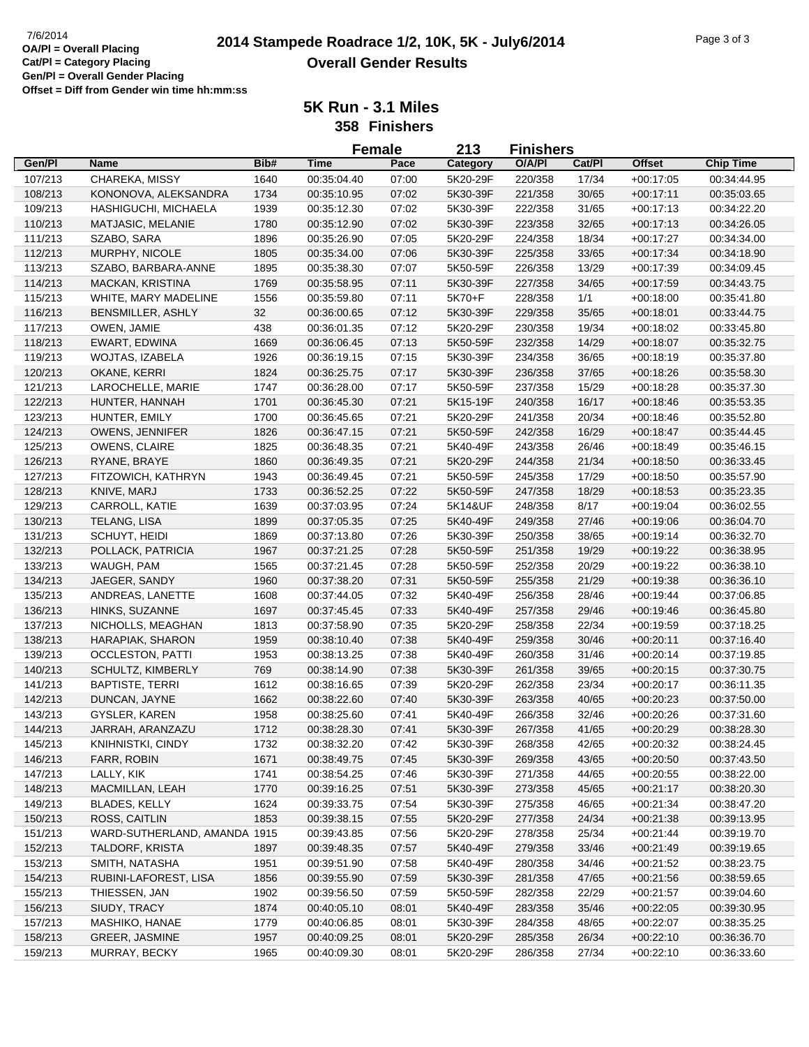|         |                                    |      | <b>Female</b> |       | 213      | <b>Finishers</b> |        |                            |                            |
|---------|------------------------------------|------|---------------|-------|----------|------------------|--------|----------------------------|----------------------------|
| Gen/Pl  | <b>Name</b>                        | Bib# | <b>Time</b>   | Pace  | Category | O/A/PI           | Cat/Pl | <b>Offset</b>              | <b>Chip Time</b>           |
| 107/213 | CHAREKA, MISSY                     | 1640 | 00:35:04.40   | 07:00 | 5K20-29F | 220/358          | 17/34  | $+00:17:05$                | 00:34:44.95                |
| 108/213 | KONONOVA, ALEKSANDRA               | 1734 | 00:35:10.95   | 07:02 | 5K30-39F | 221/358          | 30/65  | $+00:17:11$                | 00:35:03.65                |
| 109/213 | HASHIGUCHI, MICHAELA               | 1939 | 00:35:12.30   | 07:02 | 5K30-39F | 222/358          | 31/65  | $+00:17:13$                | 00:34:22.20                |
| 110/213 | MATJASIC, MELANIE                  | 1780 | 00:35:12.90   | 07:02 | 5K30-39F | 223/358          | 32/65  | $+00:17:13$                | 00:34:26.05                |
| 111/213 | SZABO, SARA                        | 1896 | 00:35:26.90   | 07:05 | 5K20-29F | 224/358          | 18/34  | $+00:17:27$                | 00:34:34.00                |
| 112/213 | MURPHY, NICOLE                     | 1805 | 00:35:34.00   | 07:06 | 5K30-39F | 225/358          | 33/65  | $+00:17:34$                | 00:34:18.90                |
| 113/213 | SZABO, BARBARA-ANNE                | 1895 | 00:35:38.30   | 07:07 | 5K50-59F | 226/358          | 13/29  | $+00:17:39$                | 00:34:09.45                |
| 114/213 | <b>MACKAN, KRISTINA</b>            | 1769 | 00:35:58.95   | 07:11 | 5K30-39F | 227/358          | 34/65  | $+00:17:59$                | 00:34:43.75                |
| 115/213 | WHITE, MARY MADELINE               | 1556 | 00:35:59.80   | 07:11 | 5K70+F   | 228/358          | 1/1    | $+00:18:00$                | 00:35:41.80                |
| 116/213 | BENSMILLER, ASHLY                  | 32   | 00:36:00.65   | 07:12 | 5K30-39F | 229/358          | 35/65  | $+00:18:01$                | 00:33:44.75                |
| 117/213 | OWEN, JAMIE                        | 438  | 00:36:01.35   | 07:12 | 5K20-29F | 230/358          | 19/34  | $+00:18:02$                | 00:33:45.80                |
| 118/213 | EWART, EDWINA                      | 1669 | 00:36:06.45   | 07:13 | 5K50-59F | 232/358          | 14/29  | $+00:18:07$                | 00:35:32.75                |
| 119/213 | WOJTAS, IZABELA                    | 1926 | 00:36:19.15   | 07:15 | 5K30-39F | 234/358          | 36/65  | $+00:18:19$                | 00:35:37.80                |
| 120/213 | OKANE, KERRI                       | 1824 | 00:36:25.75   | 07:17 | 5K30-39F | 236/358          | 37/65  | $+00:18:26$                | 00:35:58.30                |
| 121/213 | LAROCHELLE, MARIE                  | 1747 | 00:36:28.00   | 07:17 | 5K50-59F | 237/358          | 15/29  | $+00:18:28$                | 00:35:37.30                |
| 122/213 | HUNTER, HANNAH                     | 1701 | 00:36:45.30   | 07:21 | 5K15-19F | 240/358          | 16/17  | $+00:18:46$                | 00:35:53.35                |
| 123/213 | HUNTER, EMILY                      | 1700 | 00:36:45.65   | 07:21 | 5K20-29F | 241/358          | 20/34  | $+00:18:46$                | 00:35:52.80                |
| 124/213 | OWENS, JENNIFER                    | 1826 | 00:36:47.15   | 07:21 | 5K50-59F | 242/358          | 16/29  | $+00:18:47$                | 00:35:44.45                |
| 125/213 | OWENS, CLAIRE                      | 1825 | 00:36:48.35   | 07:21 | 5K40-49F | 243/358          | 26/46  | $+00:18:49$                | 00:35:46.15                |
| 126/213 | RYANE, BRAYE                       | 1860 | 00:36:49.35   | 07:21 | 5K20-29F | 244/358          | 21/34  | $+00:18:50$                | 00:36:33.45                |
| 127/213 | FITZOWICH, KATHRYN                 | 1943 | 00:36:49.45   | 07:21 | 5K50-59F | 245/358          | 17/29  | $+00:18:50$                | 00:35:57.90                |
| 128/213 | KNIVE, MARJ                        | 1733 | 00:36:52.25   | 07:22 | 5K50-59F | 247/358          | 18/29  | $+00:18:53$                | 00:35:23.35                |
| 129/213 | CARROLL, KATIE                     | 1639 | 00:37:03.95   | 07:24 | 5K14&UF  | 248/358          | 8/17   | $+00:19:04$                | 00:36:02.55                |
| 130/213 | TELANG, LISA                       | 1899 | 00:37:05.35   | 07:25 | 5K40-49F | 249/358          | 27/46  | $+00:19:06$                | 00:36:04.70                |
| 131/213 | SCHUYT, HEIDI                      | 1869 | 00:37:13.80   | 07:26 | 5K30-39F | 250/358          | 38/65  | $+00:19:14$                | 00:36:32.70                |
|         |                                    | 1967 | 00:37:21.25   | 07:28 | 5K50-59F | 251/358          | 19/29  |                            | 00:36:38.95                |
| 132/213 | POLLACK, PATRICIA<br>WAUGH, PAM    | 1565 | 00:37:21.45   | 07:28 | 5K50-59F | 252/358          | 20/29  | $+00:19:22$<br>$+00:19:22$ | 00:36:38.10                |
| 133/213 | JAEGER, SANDY                      | 1960 | 00:37:38.20   | 07:31 | 5K50-59F | 255/358          | 21/29  |                            | 00:36:36.10                |
| 134/213 |                                    | 1608 | 00:37:44.05   | 07:32 | 5K40-49F | 256/358          | 28/46  | $+00:19:38$<br>$+00:19:44$ | 00:37:06.85                |
| 135/213 | ANDREAS, LANETTE<br>HINKS, SUZANNE | 1697 | 00:37:45.45   | 07:33 | 5K40-49F | 257/358          |        |                            |                            |
| 136/213 |                                    |      |               |       |          |                  | 29/46  | $+00.19:46$                | 00:36:45.80                |
| 137/213 | NICHOLLS, MEAGHAN                  | 1813 | 00:37:58.90   | 07:35 | 5K20-29F | 258/358          | 22/34  | $+00:19:59$                | 00:37:18.25                |
| 138/213 | HARAPIAK, SHARON                   | 1959 | 00:38:10.40   | 07:38 | 5K40-49F | 259/358          | 30/46  | $+00:20:11$                | 00:37:16.40<br>00:37:19.85 |
| 139/213 | <b>OCCLESTON, PATTI</b>            | 1953 | 00:38:13.25   | 07:38 | 5K40-49F | 260/358          | 31/46  | $+00:20:14$                |                            |
| 140/213 | SCHULTZ, KIMBERLY                  | 769  | 00:38:14.90   | 07:38 | 5K30-39F | 261/358          | 39/65  | $+00:20:15$                | 00:37:30.75                |
| 141/213 | <b>BAPTISTE, TERRI</b>             | 1612 | 00:38:16.65   | 07:39 | 5K20-29F | 262/358          | 23/34  | $+00:20:17$                | 00:36:11.35                |
| 142/213 | DUNCAN, JAYNE                      | 1662 | 00:38:22.60   | 07:40 | 5K30-39F | 263/358          | 40/65  | $+00:20:23$                | 00:37:50.00                |
| 143/213 | GYSLER, KAREN                      | 1958 | 00:38:25.60   | 07:41 | 5K40-49F | 266/358          | 32/46  | $+00:20:26$                | 00:37:31.60                |
| 144/213 | JARRAH, ARANZAZU                   | 1712 | 00:38:28.30   | 07:41 | 5K30-39F | 267/358          | 41/65  | $+00:20:29$                | 00:38:28.30                |
| 145/213 | KNIHNISTKI, CINDY                  | 1732 | 00:38:32.20   | 07:42 | 5K30-39F | 268/358          | 42/65  | $+00:20:32$                | 00:38:24.45                |
| 146/213 | FARR, ROBIN                        | 1671 | 00:38:49.75   | 07:45 | 5K30-39F | 269/358          | 43/65  | $+00:20:50$                | 00:37:43.50                |
| 147/213 | LALLY, KIK                         | 1741 | 00:38:54.25   | 07:46 | 5K30-39F | 271/358          | 44/65  | $+00:20:55$                | 00:38:22.00                |
| 148/213 | MACMILLAN, LEAH                    | 1770 | 00:39:16.25   | 07:51 | 5K30-39F | 273/358          | 45/65  | $+00:21:17$                | 00:38:20.30                |
| 149/213 | <b>BLADES, KELLY</b>               | 1624 | 00:39:33.75   | 07:54 | 5K30-39F | 275/358          | 46/65  | $+00:21:34$                | 00:38:47.20                |
| 150/213 | ROSS, CAITLIN                      | 1853 | 00:39:38.15   | 07:55 | 5K20-29F | 277/358          | 24/34  | $+00:21:38$                | 00:39:13.95                |
| 151/213 | WARD-SUTHERLAND, AMANDA 1915       |      | 00:39:43.85   | 07:56 | 5K20-29F | 278/358          | 25/34  | $+00:21:44$                | 00:39:19.70                |
| 152/213 | TALDORF, KRISTA                    | 1897 | 00:39:48.35   | 07:57 | 5K40-49F | 279/358          | 33/46  | $+00:21:49$                | 00:39:19.65                |
| 153/213 | SMITH, NATASHA                     | 1951 | 00:39:51.90   | 07:58 | 5K40-49F | 280/358          | 34/46  | $+00:21:52$                | 00:38:23.75                |
| 154/213 | RUBINI-LAFOREST, LISA              | 1856 | 00:39:55.90   | 07:59 | 5K30-39F | 281/358          | 47/65  | $+00:21:56$                | 00:38:59.65                |
| 155/213 | THIESSEN, JAN                      | 1902 | 00:39:56.50   | 07:59 | 5K50-59F | 282/358          | 22/29  | $+00:21:57$                | 00:39:04.60                |
| 156/213 | SIUDY, TRACY                       | 1874 | 00:40:05.10   | 08:01 | 5K40-49F | 283/358          | 35/46  | $+00:22:05$                | 00:39:30.95                |
| 157/213 | MASHIKO, HANAE                     | 1779 | 00:40:06.85   | 08:01 | 5K30-39F | 284/358          | 48/65  | $+00:22:07$                | 00:38:35.25                |
| 158/213 | GREER, JASMINE                     | 1957 | 00:40:09.25   | 08:01 | 5K20-29F | 285/358          | 26/34  | $+00:22:10$                | 00:36:36.70                |
| 159/213 | MURRAY, BECKY                      | 1965 | 00:40:09.30   | 08:01 | 5K20-29F | 286/358          | 27/34  | $+00:22:10$                | 00:36:33.60                |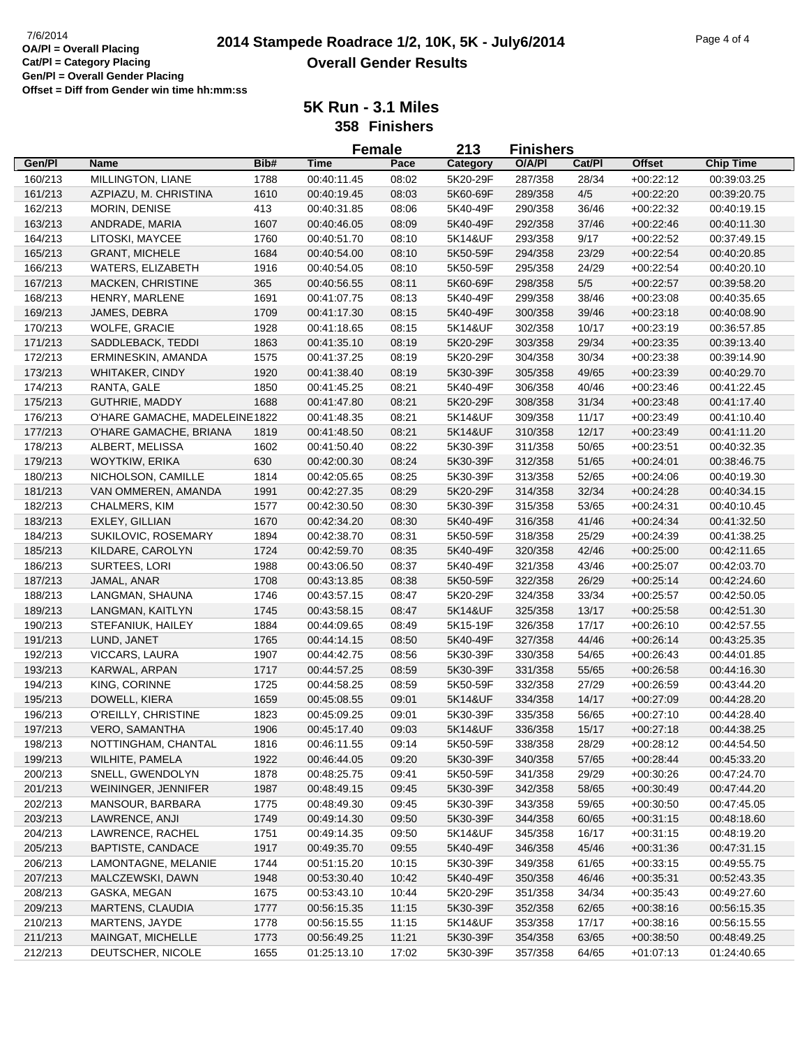|                    |                               |              |                            | <b>Female</b>  | 213                  | <b>Finishers</b>   |                |                            |                            |
|--------------------|-------------------------------|--------------|----------------------------|----------------|----------------------|--------------------|----------------|----------------------------|----------------------------|
| Gen/Pl             | <b>Name</b>                   | Bib#         | <b>Time</b>                | Pace           | Category             | O/A/PI             | Cat/Pl         | Offset                     | <b>Chip Time</b>           |
| 160/213            | MILLINGTON, LIANE             | 1788         | 00:40:11.45                | 08:02          | 5K20-29F             | 287/358            | 28/34          | $+00:22:12$                | 00:39:03.25                |
| 161/213            | AZPIAZU, M. CHRISTINA         | 1610         | 00:40:19.45                | 08:03          | 5K60-69F             | 289/358            | 4/5            | $+00:22:20$                | 00:39:20.75                |
| 162/213            | MORIN, DENISE                 | 413          | 00:40:31.85                | 08:06          | 5K40-49F             | 290/358            | 36/46          | $+00:22:32$                | 00:40:19.15                |
| 163/213            | ANDRADE, MARIA                | 1607         | 00:40:46.05                | 08:09          | 5K40-49F             | 292/358            | 37/46          | $+00:22:46$                | 00:40:11.30                |
| 164/213            | LITOSKI, MAYCEE               | 1760         | 00:40:51.70                | 08:10          | 5K14&UF              | 293/358            | 9/17           | $+00:22:52$                | 00:37:49.15                |
| 165/213            | <b>GRANT, MICHELE</b>         | 1684         | 00:40:54.00                | 08:10          | 5K50-59F             | 294/358            | 23/29          | $+00:22:54$                | 00:40:20.85                |
| 166/213            | WATERS, ELIZABETH             | 1916         | 00:40:54.05                | 08:10          | 5K50-59F             | 295/358            | 24/29          | $+00:22:54$                | 00:40:20.10                |
| 167/213            | MACKEN, CHRISTINE             | 365          | 00:40:56.55                | 08:11          | 5K60-69F             | 298/358            | $5/5$          | $+00:22:57$                | 00:39:58.20                |
| 168/213            | HENRY, MARLENE                | 1691         | 00:41:07.75                | 08:13          | 5K40-49F             | 299/358            | 38/46          | $+00:23:08$                | 00:40:35.65                |
| 169/213            | JAMES, DEBRA                  | 1709         | 00:41:17.30                | 08:15          | 5K40-49F             | 300/358            | 39/46          | $+00:23:18$                | 00:40:08.90                |
| 170/213            | WOLFE, GRACIE                 | 1928         | 00:41:18.65                | 08:15          | 5K14&UF              | 302/358            | 10/17          | $+00:23:19$                | 00:36:57.85                |
| 171/213            | SADDLEBACK, TEDDI             | 1863         | 00:41:35.10                | 08:19          | 5K20-29F             | 303/358            | 29/34          | $+00:23:35$                | 00:39:13.40                |
| 172/213            | ERMINESKIN, AMANDA            | 1575         | 00:41:37.25                | 08:19          | 5K20-29F             | 304/358            | 30/34          | $+00:23:38$                | 00:39:14.90                |
| 173/213            | <b>WHITAKER, CINDY</b>        | 1920         | 00:41:38.40                | 08:19          | 5K30-39F             | 305/358            | 49/65          | $+00:23:39$                | 00:40:29.70                |
| 174/213            | RANTA, GALE                   | 1850         | 00:41:45.25                | 08:21          | 5K40-49F             | 306/358            | 40/46          | $+00:23:46$                | 00:41:22.45                |
| 175/213            | GUTHRIE, MADDY                | 1688         | 00:41:47.80                | 08:21          | 5K20-29F             | 308/358            | 31/34          | $+00:23:48$                | 00:41:17.40                |
| 176/213            | O'HARE GAMACHE, MADELEINE1822 |              | 00:41:48.35                | 08:21          | 5K14&UF              | 309/358            | 11/17          | $+00:23:49$                | 00:41:10.40                |
| 177/213            | O'HARE GAMACHE, BRIANA        | 1819         | 00:41:48.50                | 08:21          | 5K14&UF              | 310/358            | 12/17          | $+00:23:49$                | 00:41:11.20                |
| 178/213            | ALBERT, MELISSA               | 1602         | 00:41:50.40                | 08:22          | 5K30-39F             | 311/358            | 50/65          | $+00:23:51$                | 00:40:32.35                |
| 179/213            | <b>WOYTKIW, ERIKA</b>         | 630          | 00:42:00.30                | 08:24          | 5K30-39F             | 312/358            | 51/65          | $+00:24:01$                | 00:38:46.75                |
| 180/213            | NICHOLSON, CAMILLE            | 1814         | 00:42:05.65                | 08:25          | 5K30-39F             | 313/358            | 52/65          | $+00:24:06$                | 00:40:19.30                |
| 181/213            | VAN OMMEREN, AMANDA           | 1991         | 00:42:27.35                | 08:29          | 5K20-29F             | 314/358            | 32/34          | $+00:24:28$                | 00:40:34.15                |
| 182/213            | <b>CHALMERS, KIM</b>          | 1577         | 00:42:30.50                | 08:30          | 5K30-39F             | 315/358            | 53/65          | $+00:24:31$                | 00:40:10.45                |
| 183/213            | <b>EXLEY, GILLIAN</b>         | 1670         | 00:42:34.20                | 08:30          | 5K40-49F             | 316/358            | 41/46          | $+00:24:34$                | 00:41:32.50                |
| 184/213            | SUKILOVIC, ROSEMARY           | 1894         | 00:42:38.70                | 08:31          | 5K50-59F             | 318/358            | 25/29          | $+00:24:39$                | 00:41:38.25                |
| 185/213            | KILDARE, CAROLYN              | 1724         | 00:42:59.70                | 08:35          | 5K40-49F             | 320/358            | 42/46          | $+00:25:00$                | 00:42:11.65                |
| 186/213            | SURTEES, LORI                 | 1988         | 00:43:06.50                | 08:37          | 5K40-49F             | 321/358            | 43/46          | $+00:25:07$                | 00:42:03.70                |
| 187/213            | JAMAL, ANAR                   | 1708         | 00:43:13.85                | 08:38          | 5K50-59F             | 322/358            | 26/29          | $+00:25:14$                | 00:42:24.60                |
| 188/213            | LANGMAN, SHAUNA               | 1746         | 00:43:57.15                | 08:47          | 5K20-29F             | 324/358            | 33/34          | $+00:25:57$                | 00:42:50.05                |
| 189/213            | LANGMAN, KAITLYN              | 1745         | 00:43:58.15                | 08:47          | 5K14&UF              | 325/358            | 13/17          | $+00:25:58$                | 00:42:51.30                |
| 190/213            | STEFANIUK, HAILEY             | 1884         | 00:44:09.65                | 08:49          | 5K15-19F             | 326/358            | 17/17          | $+00:26:10$                | 00:42:57.55                |
| 191/213            | LUND, JANET                   | 1765         | 00:44:14.15                | 08:50          | 5K40-49F             | 327/358            | 44/46          | $+00:26:14$                | 00:43:25.35                |
| 192/213            | VICCARS, LAURA                | 1907         | 00:44:42.75                | 08:56          | 5K30-39F             | 330/358            | 54/65          | $+00:26:43$                | 00:44:01.85                |
| 193/213            | KARWAL, ARPAN                 | 1717         | 00:44:57.25                | 08:59          | 5K30-39F             | 331/358            | 55/65          | $+00:26:58$                | 00:44:16.30                |
| 194/213            | KING, CORINNE                 | 1725         | 00:44:58.25                | 08:59          | 5K50-59F             | 332/358            | 27/29          | $+00:26:59$                | 00:43:44.20                |
| 195/213            | DOWELL, KIERA                 | 1659         | 00:45:08.55                | 09:01          | 5K14&UF              | 334/358            | 14/17          | $+00:27:09$                | 00:44:28.20                |
| 196/213            | O'REILLY, CHRISTINE           | 1823         | 00:45:09.25                | 09:01          | 5K30-39F             | 335/358            | 56/65          | $+00:27:10$                | 00:44:28.40                |
| 197/213            | <b>VERO, SAMANTHA</b>         | 1906         | 00:45:17.40                | 09:03          | 5K14&UF              | 336/358            | 15/17          | $+00:27:18$                | 00:44:38.25                |
| 198/213            | NOTTINGHAM, CHANTAL           | 1816         | 00:46:11.55                | 09:14          | 5K50-59F             | 338/358            | 28/29          | $+00:28:12$                | 00:44:54.50                |
| 199/213            | WILHITE, PAMELA               | 1922         | 00:46:44.05                | 09:20          | 5K30-39F             | 340/358            | 57/65          | $+00:28:44$                | 00:45:33.20                |
| 200/213            | SNELL, GWENDOLYN              | 1878         | 00:48:25.75                | 09:41          | 5K50-59F             | 341/358            | 29/29          | $+00:30:26$                | 00:47:24.70                |
| 201/213            | WEININGER, JENNIFER           | 1987         | 00:48:49.15                | 09:45          | 5K30-39F             | 342/358            | 58/65          | $+00:30:49$                | 00:47:44.20                |
| 202/213            | MANSOUR, BARBARA              | 1775         | 00:48:49.30                | 09:45          | 5K30-39F             | 343/358            | 59/65          | $+00:30:50$                | 00:47:45.05                |
| 203/213            | LAWRENCE, ANJI                | 1749         | 00:49:14.30                | 09:50          | 5K30-39F             | 344/358            | 60/65          | $+00:31:15$                | 00:48:18.60                |
| 204/213            | LAWRENCE, RACHEL              | 1751         | 00:49:14.35                | 09:50          | 5K14&UF              | 345/358            | 16/17          | $+00:31:15$                | 00:48:19.20                |
| 205/213            | <b>BAPTISTE, CANDACE</b>      | 1917         | 00:49:35.70                | 09:55          | 5K40-49F             | 346/358            | 45/46          | $+00:31:36$                | 00:47:31.15                |
| 206/213            | LAMONTAGNE, MELANIE           | 1744         | 00:51:15.20                | 10:15          | 5K30-39F             | 349/358            | 61/65          | $+00:33:15$                | 00:49:55.75                |
|                    | MALCZEWSKI, DAWN              |              |                            |                |                      |                    |                |                            |                            |
| 207/213            | GASKA, MEGAN                  | 1948         | 00:53:30.40                | 10:42          | 5K40-49F             | 350/358            | 46/46<br>34/34 | $+00:35:31$                | 00:52:43.35                |
| 208/213<br>209/213 | MARTENS, CLAUDIA              | 1675<br>1777 | 00:53:43.10<br>00:56:15.35 | 10:44<br>11:15 | 5K20-29F<br>5K30-39F | 351/358<br>352/358 | 62/65          | $+00:35:43$<br>$+00.38:16$ | 00:49:27.60<br>00:56:15.35 |
| 210/213            | MARTENS, JAYDE                | 1778         | 00:56:15.55                | 11:15          | 5K14&UF              | 353/358            | 17/17          | $+00.38:16$                | 00:56:15.55                |
|                    |                               |              |                            |                |                      |                    |                |                            |                            |
| 211/213<br>212/213 | MAINGAT, MICHELLE             | 1773         | 00:56:49.25                | 11:21          | 5K30-39F             | 354/358            | 63/65<br>64/65 | $+00:38:50$                | 00:48:49.25                |
|                    | DEUTSCHER, NICOLE             | 1655         | 01:25:13.10                | 17:02          | 5K30-39F             | 357/358            |                | $+01:07:13$                | 01:24:40.65                |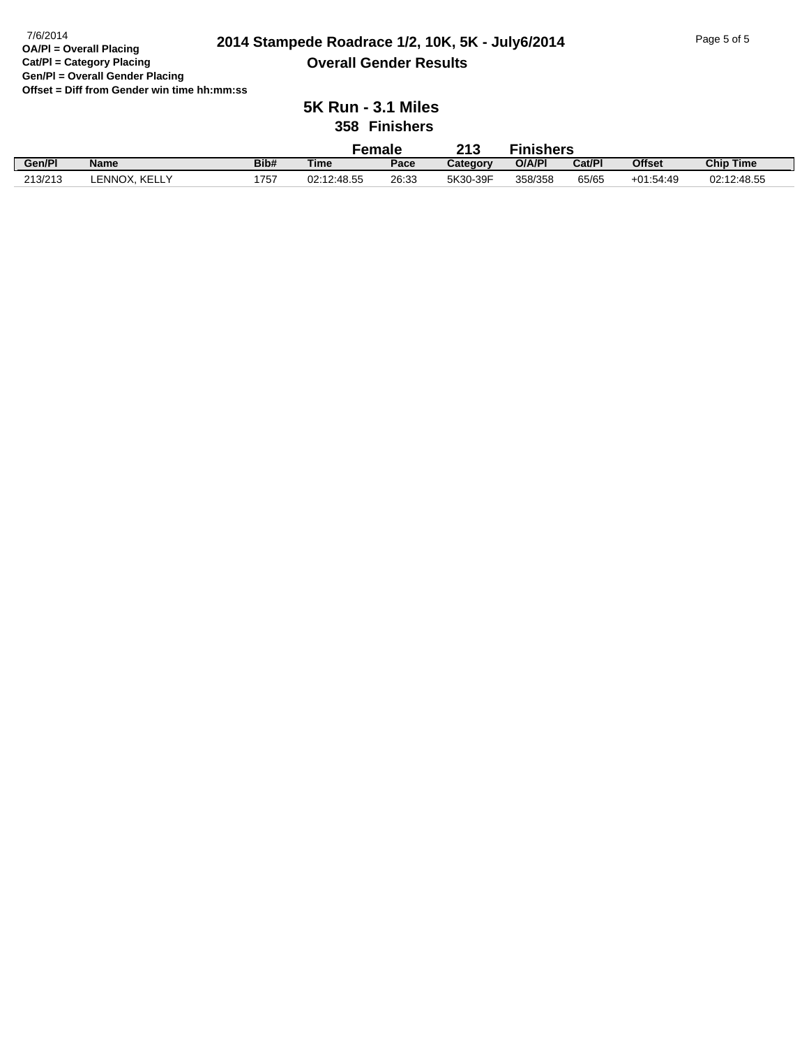#### **2014 Stampede Roadrace 1/2, 10K, 5K - July6/2014** 7/6/2014 Page 5 of 5 **Overall Gender Results**

|         |                  |      | Female      |       | 213      | <b>Finishers</b> |        |               |                  |
|---------|------------------|------|-------------|-------|----------|------------------|--------|---------------|------------------|
| Gen/Pl  | <b>Name</b>      | Bib# | <b>Time</b> | Pace  | Category | O/A/PI           | Cat/Pl | <b>Offset</b> | <b>Chip Time</b> |
| 213/213 | KELLY<br>.ENNOX. | 1757 | 02:12:48.55 | 26:33 | 5K30-39F | 358/358          | 65/65  | $+01:54:49$   | 02:12:48.55      |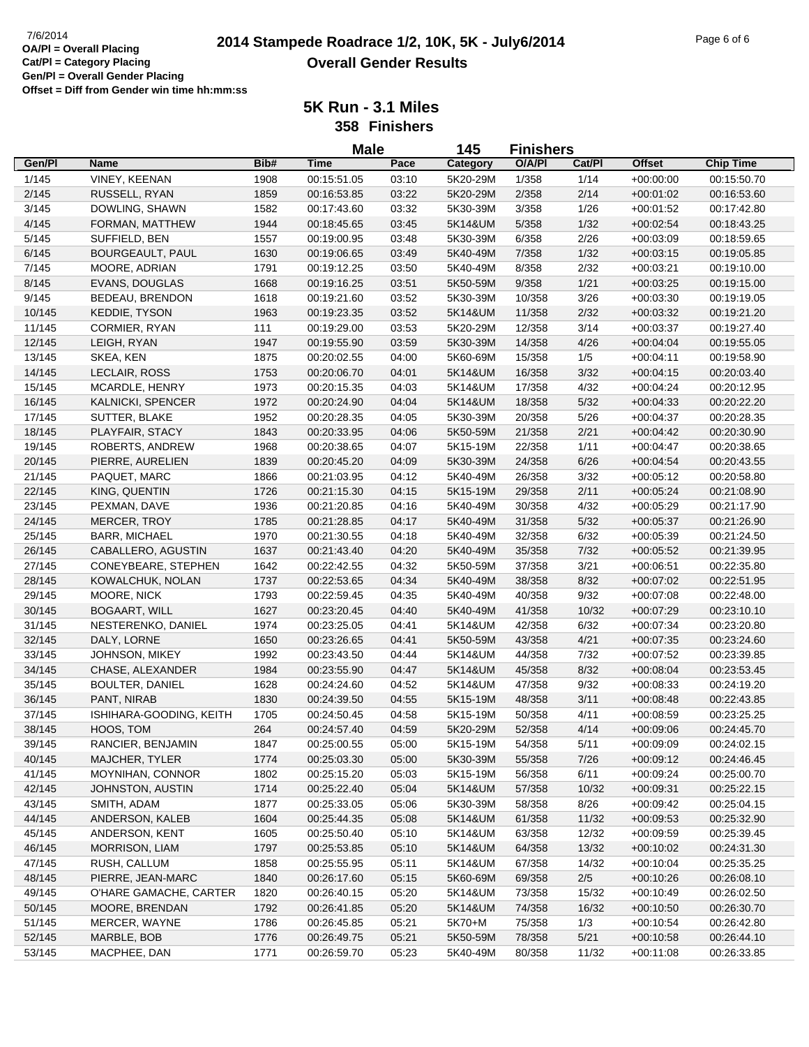# **2014 Stampede Roadrace 1/2, 10K, 5K - July6/2014** 7/6/2014 Page 6 of 6 **Overall Gender Results**

| 145<br><b>Male</b><br><b>Finishers</b><br><b>Offset</b><br>Gen/Pl<br>Bib#<br><b>Time</b><br>Pace<br>O/A/PI<br>Cat/Pl<br><b>Chip Time</b><br>Name<br>Category<br>1/145<br>VINEY, KEENAN<br>1908<br>00:15:51.05<br>03:10<br>1/358<br>1/14<br>$+00:00:00$<br>00:15:50.70<br>5K20-29M<br>2/145<br>2/358<br>2/14<br>RUSSELL, RYAN<br>1859<br>00:16:53.85<br>03:22<br>5K20-29M<br>$+00:01:02$<br>00:16:53.60<br>1/26<br>3/145<br>DOWLING, SHAWN<br>1582<br>00:17:43.60<br>03:32<br>3/358<br>5K30-39M<br>$+00:01:52$<br>00:17:42.80<br>4/145<br>5/358<br>1/32<br>FORMAN, MATTHEW<br>1944<br>00:18:45.65<br>03:45<br>5K14&UM<br>$+00:02:54$<br>00:18:43.25<br>SUFFIELD, BEN<br>2/26<br>5/145<br>1557<br>00:19:00.95<br>03:48<br>5K30-39M<br>6/358<br>$+00:03:09$<br>00:18:59.65<br>6/145<br>BOURGEAULT, PAUL<br>1630<br>00:19:06.65<br>03:49<br>5K40-49M<br>7/358<br>1/32<br>$+00:03:15$<br>00:19:05.85<br>7/145<br>MOORE, ADRIAN<br>1791<br>03:50<br>5K40-49M<br>8/358<br>2/32<br>$+00:03:21$<br>00:19:10.00<br>00:19:12.25<br>8/145<br>EVANS, DOUGLAS<br>1668<br>00:19:16.25<br>03:51<br>5K50-59M<br>9/358<br>1/21<br>$+00:03:25$<br>00:19:15.00<br>9/145<br>BEDEAU, BRENDON<br>1618<br>00:19:21.60<br>03:52<br>5K30-39M<br>10/358<br>3/26<br>$+00:03:30$<br>00:19:19.05<br>10/145<br>KEDDIE, TYSON<br>1963<br>00:19:23.35<br>03:52<br>5K14&UM<br>11/358<br>2/32<br>00:19:21.20<br>$+00:03:32$<br>11/145<br>CORMIER, RYAN<br>111<br>03:53<br>5K20-29M<br>12/358<br>3/14<br>00:19:29.00<br>$+00:03:37$<br>00:19:27.40<br>12/145<br>LEIGH, RYAN<br>1947<br>03:59<br>5K30-39M<br>14/358<br>4/26<br>00:19:55.90<br>$+00:04:04$<br>00:19:55.05<br>13/145<br>SKEA, KEN<br>1875<br>00:20:02.55<br>04:00<br>5K60-69M<br>15/358<br>1/5<br>$+00:04:11$<br>00:19:58.90<br>14/145<br>LECLAIR, ROSS<br>1753<br>00:20:06.70<br>04:01<br>5K14&UM<br>16/358<br>3/32<br>$+00:04:15$<br>00:20:03.40<br>15/145<br>MCARDLE, HENRY<br>1973<br>04:03<br>5K14&UM<br>17/358<br>4/32<br>$+00:04:24$<br>00:20:15.35<br>00:20:12.95<br>16/145<br>KALNICKI, SPENCER<br>1972<br>00:20:24.90<br>04:04<br>5K14&UM<br>18/358<br>5/32<br>$+00:04:33$<br>00:20:22.20 |  |
|------------------------------------------------------------------------------------------------------------------------------------------------------------------------------------------------------------------------------------------------------------------------------------------------------------------------------------------------------------------------------------------------------------------------------------------------------------------------------------------------------------------------------------------------------------------------------------------------------------------------------------------------------------------------------------------------------------------------------------------------------------------------------------------------------------------------------------------------------------------------------------------------------------------------------------------------------------------------------------------------------------------------------------------------------------------------------------------------------------------------------------------------------------------------------------------------------------------------------------------------------------------------------------------------------------------------------------------------------------------------------------------------------------------------------------------------------------------------------------------------------------------------------------------------------------------------------------------------------------------------------------------------------------------------------------------------------------------------------------------------------------------------------------------------------------------------------------------------------------------------------------------------------------------------------------------------------------------------------------------------------------------------------------------------------------------------------------------------------------------------------|--|
|                                                                                                                                                                                                                                                                                                                                                                                                                                                                                                                                                                                                                                                                                                                                                                                                                                                                                                                                                                                                                                                                                                                                                                                                                                                                                                                                                                                                                                                                                                                                                                                                                                                                                                                                                                                                                                                                                                                                                                                                                                                                                                                              |  |
|                                                                                                                                                                                                                                                                                                                                                                                                                                                                                                                                                                                                                                                                                                                                                                                                                                                                                                                                                                                                                                                                                                                                                                                                                                                                                                                                                                                                                                                                                                                                                                                                                                                                                                                                                                                                                                                                                                                                                                                                                                                                                                                              |  |
|                                                                                                                                                                                                                                                                                                                                                                                                                                                                                                                                                                                                                                                                                                                                                                                                                                                                                                                                                                                                                                                                                                                                                                                                                                                                                                                                                                                                                                                                                                                                                                                                                                                                                                                                                                                                                                                                                                                                                                                                                                                                                                                              |  |
|                                                                                                                                                                                                                                                                                                                                                                                                                                                                                                                                                                                                                                                                                                                                                                                                                                                                                                                                                                                                                                                                                                                                                                                                                                                                                                                                                                                                                                                                                                                                                                                                                                                                                                                                                                                                                                                                                                                                                                                                                                                                                                                              |  |
|                                                                                                                                                                                                                                                                                                                                                                                                                                                                                                                                                                                                                                                                                                                                                                                                                                                                                                                                                                                                                                                                                                                                                                                                                                                                                                                                                                                                                                                                                                                                                                                                                                                                                                                                                                                                                                                                                                                                                                                                                                                                                                                              |  |
|                                                                                                                                                                                                                                                                                                                                                                                                                                                                                                                                                                                                                                                                                                                                                                                                                                                                                                                                                                                                                                                                                                                                                                                                                                                                                                                                                                                                                                                                                                                                                                                                                                                                                                                                                                                                                                                                                                                                                                                                                                                                                                                              |  |
|                                                                                                                                                                                                                                                                                                                                                                                                                                                                                                                                                                                                                                                                                                                                                                                                                                                                                                                                                                                                                                                                                                                                                                                                                                                                                                                                                                                                                                                                                                                                                                                                                                                                                                                                                                                                                                                                                                                                                                                                                                                                                                                              |  |
|                                                                                                                                                                                                                                                                                                                                                                                                                                                                                                                                                                                                                                                                                                                                                                                                                                                                                                                                                                                                                                                                                                                                                                                                                                                                                                                                                                                                                                                                                                                                                                                                                                                                                                                                                                                                                                                                                                                                                                                                                                                                                                                              |  |
|                                                                                                                                                                                                                                                                                                                                                                                                                                                                                                                                                                                                                                                                                                                                                                                                                                                                                                                                                                                                                                                                                                                                                                                                                                                                                                                                                                                                                                                                                                                                                                                                                                                                                                                                                                                                                                                                                                                                                                                                                                                                                                                              |  |
|                                                                                                                                                                                                                                                                                                                                                                                                                                                                                                                                                                                                                                                                                                                                                                                                                                                                                                                                                                                                                                                                                                                                                                                                                                                                                                                                                                                                                                                                                                                                                                                                                                                                                                                                                                                                                                                                                                                                                                                                                                                                                                                              |  |
|                                                                                                                                                                                                                                                                                                                                                                                                                                                                                                                                                                                                                                                                                                                                                                                                                                                                                                                                                                                                                                                                                                                                                                                                                                                                                                                                                                                                                                                                                                                                                                                                                                                                                                                                                                                                                                                                                                                                                                                                                                                                                                                              |  |
|                                                                                                                                                                                                                                                                                                                                                                                                                                                                                                                                                                                                                                                                                                                                                                                                                                                                                                                                                                                                                                                                                                                                                                                                                                                                                                                                                                                                                                                                                                                                                                                                                                                                                                                                                                                                                                                                                                                                                                                                                                                                                                                              |  |
|                                                                                                                                                                                                                                                                                                                                                                                                                                                                                                                                                                                                                                                                                                                                                                                                                                                                                                                                                                                                                                                                                                                                                                                                                                                                                                                                                                                                                                                                                                                                                                                                                                                                                                                                                                                                                                                                                                                                                                                                                                                                                                                              |  |
|                                                                                                                                                                                                                                                                                                                                                                                                                                                                                                                                                                                                                                                                                                                                                                                                                                                                                                                                                                                                                                                                                                                                                                                                                                                                                                                                                                                                                                                                                                                                                                                                                                                                                                                                                                                                                                                                                                                                                                                                                                                                                                                              |  |
|                                                                                                                                                                                                                                                                                                                                                                                                                                                                                                                                                                                                                                                                                                                                                                                                                                                                                                                                                                                                                                                                                                                                                                                                                                                                                                                                                                                                                                                                                                                                                                                                                                                                                                                                                                                                                                                                                                                                                                                                                                                                                                                              |  |
|                                                                                                                                                                                                                                                                                                                                                                                                                                                                                                                                                                                                                                                                                                                                                                                                                                                                                                                                                                                                                                                                                                                                                                                                                                                                                                                                                                                                                                                                                                                                                                                                                                                                                                                                                                                                                                                                                                                                                                                                                                                                                                                              |  |
|                                                                                                                                                                                                                                                                                                                                                                                                                                                                                                                                                                                                                                                                                                                                                                                                                                                                                                                                                                                                                                                                                                                                                                                                                                                                                                                                                                                                                                                                                                                                                                                                                                                                                                                                                                                                                                                                                                                                                                                                                                                                                                                              |  |
| 17/145<br>SUTTER, BLAKE<br>1952<br>04:05<br>20/358<br>5/26<br>00:20:28.35<br>5K30-39M<br>$+00:04:37$<br>00:20:28.35                                                                                                                                                                                                                                                                                                                                                                                                                                                                                                                                                                                                                                                                                                                                                                                                                                                                                                                                                                                                                                                                                                                                                                                                                                                                                                                                                                                                                                                                                                                                                                                                                                                                                                                                                                                                                                                                                                                                                                                                          |  |
| 18/145<br>PLAYFAIR, STACY<br>1843<br>00:20:33.95<br>04:06<br>5K50-59M<br>21/358<br>2/21<br>00:20:30.90<br>$+00.04:42$                                                                                                                                                                                                                                                                                                                                                                                                                                                                                                                                                                                                                                                                                                                                                                                                                                                                                                                                                                                                                                                                                                                                                                                                                                                                                                                                                                                                                                                                                                                                                                                                                                                                                                                                                                                                                                                                                                                                                                                                        |  |
| 1/11<br>19/145<br>ROBERTS, ANDREW<br>1968<br>00:20:38.65<br>04:07<br>5K15-19M<br>22/358<br>$+00:04:47$<br>00:20:38.65                                                                                                                                                                                                                                                                                                                                                                                                                                                                                                                                                                                                                                                                                                                                                                                                                                                                                                                                                                                                                                                                                                                                                                                                                                                                                                                                                                                                                                                                                                                                                                                                                                                                                                                                                                                                                                                                                                                                                                                                        |  |
| 20/145<br>PIERRE, AURELIEN<br>1839<br>00:20:45.20<br>04:09<br>5K30-39M<br>24/358<br>6/26<br>$+00:04:54$<br>00:20:43.55                                                                                                                                                                                                                                                                                                                                                                                                                                                                                                                                                                                                                                                                                                                                                                                                                                                                                                                                                                                                                                                                                                                                                                                                                                                                                                                                                                                                                                                                                                                                                                                                                                                                                                                                                                                                                                                                                                                                                                                                       |  |
| 21/145<br>PAQUET, MARC<br>1866<br>00:21:03.95<br>04:12<br>5K40-49M<br>26/358<br>3/32<br>$+00:05:12$<br>00:20:58.80                                                                                                                                                                                                                                                                                                                                                                                                                                                                                                                                                                                                                                                                                                                                                                                                                                                                                                                                                                                                                                                                                                                                                                                                                                                                                                                                                                                                                                                                                                                                                                                                                                                                                                                                                                                                                                                                                                                                                                                                           |  |
| 22/145<br>2/11<br>KING, QUENTIN<br>1726<br>00:21:15.30<br>04:15<br>5K15-19M<br>29/358<br>$+00:05:24$<br>00:21:08.90                                                                                                                                                                                                                                                                                                                                                                                                                                                                                                                                                                                                                                                                                                                                                                                                                                                                                                                                                                                                                                                                                                                                                                                                                                                                                                                                                                                                                                                                                                                                                                                                                                                                                                                                                                                                                                                                                                                                                                                                          |  |
| 23/145<br>PEXMAN, DAVE<br>1936<br>00:21:20.85<br>04:16<br>5K40-49M<br>30/358<br>4/32<br>$+00:05:29$<br>00:21:17.90                                                                                                                                                                                                                                                                                                                                                                                                                                                                                                                                                                                                                                                                                                                                                                                                                                                                                                                                                                                                                                                                                                                                                                                                                                                                                                                                                                                                                                                                                                                                                                                                                                                                                                                                                                                                                                                                                                                                                                                                           |  |
| 24/145<br>MERCER, TROY<br>1785<br>00:21:28.85<br>04:17<br>5K40-49M<br>31/358<br>5/32<br>$+00:05:37$<br>00:21:26.90                                                                                                                                                                                                                                                                                                                                                                                                                                                                                                                                                                                                                                                                                                                                                                                                                                                                                                                                                                                                                                                                                                                                                                                                                                                                                                                                                                                                                                                                                                                                                                                                                                                                                                                                                                                                                                                                                                                                                                                                           |  |
| 25/145<br><b>BARR, MICHAEL</b><br>1970<br>00:21:30.55<br>04:18<br>5K40-49M<br>32/358<br>6/32<br>$+00:05:39$<br>00:21:24.50                                                                                                                                                                                                                                                                                                                                                                                                                                                                                                                                                                                                                                                                                                                                                                                                                                                                                                                                                                                                                                                                                                                                                                                                                                                                                                                                                                                                                                                                                                                                                                                                                                                                                                                                                                                                                                                                                                                                                                                                   |  |
| 04:20<br>7/32<br>26/145<br>CABALLERO, AGUSTIN<br>1637<br>5K40-49M<br>35/358<br>00:21:43.40<br>$+00:05:52$<br>00:21:39.95                                                                                                                                                                                                                                                                                                                                                                                                                                                                                                                                                                                                                                                                                                                                                                                                                                                                                                                                                                                                                                                                                                                                                                                                                                                                                                                                                                                                                                                                                                                                                                                                                                                                                                                                                                                                                                                                                                                                                                                                     |  |
| 27/145<br>CONEYBEARE, STEPHEN<br>1642<br>00:22:42.55<br>04:32<br>5K50-59M<br>37/358<br>3/21<br>00:22:35.80<br>$+00:06:51$                                                                                                                                                                                                                                                                                                                                                                                                                                                                                                                                                                                                                                                                                                                                                                                                                                                                                                                                                                                                                                                                                                                                                                                                                                                                                                                                                                                                                                                                                                                                                                                                                                                                                                                                                                                                                                                                                                                                                                                                    |  |
| 8/32<br>28/145<br>1737<br>00:22:53.65<br>04:34<br>5K40-49M<br>38/358<br>00:22:51.95<br>KOWALCHUK, NOLAN<br>$+00:07:02$                                                                                                                                                                                                                                                                                                                                                                                                                                                                                                                                                                                                                                                                                                                                                                                                                                                                                                                                                                                                                                                                                                                                                                                                                                                                                                                                                                                                                                                                                                                                                                                                                                                                                                                                                                                                                                                                                                                                                                                                       |  |
| 29/145<br>MOORE, NICK<br>1793<br>00:22:59.45<br>04:35<br>5K40-49M<br>40/358<br>9/32<br>$+00:07:08$<br>00:22:48.00                                                                                                                                                                                                                                                                                                                                                                                                                                                                                                                                                                                                                                                                                                                                                                                                                                                                                                                                                                                                                                                                                                                                                                                                                                                                                                                                                                                                                                                                                                                                                                                                                                                                                                                                                                                                                                                                                                                                                                                                            |  |
| 30/145<br><b>BOGAART, WILL</b><br>1627<br>00:23:20.45<br>04:40<br>5K40-49M<br>41/358<br>10/32<br>$+00:07:29$<br>00:23:10.10                                                                                                                                                                                                                                                                                                                                                                                                                                                                                                                                                                                                                                                                                                                                                                                                                                                                                                                                                                                                                                                                                                                                                                                                                                                                                                                                                                                                                                                                                                                                                                                                                                                                                                                                                                                                                                                                                                                                                                                                  |  |
| 31/145<br>NESTERENKO, DANIEL<br>1974<br>00:23:25.05<br>04:41<br>5K14&UM<br>42/358<br>6/32<br>$+00:07:34$<br>00:23:20.80                                                                                                                                                                                                                                                                                                                                                                                                                                                                                                                                                                                                                                                                                                                                                                                                                                                                                                                                                                                                                                                                                                                                                                                                                                                                                                                                                                                                                                                                                                                                                                                                                                                                                                                                                                                                                                                                                                                                                                                                      |  |
| 32/145<br>DALY, LORNE<br>1650<br>00:23:26.65<br>04:41<br>5K50-59M<br>43/358<br>4/21<br>00:23:24.60<br>$+00:07:35$                                                                                                                                                                                                                                                                                                                                                                                                                                                                                                                                                                                                                                                                                                                                                                                                                                                                                                                                                                                                                                                                                                                                                                                                                                                                                                                                                                                                                                                                                                                                                                                                                                                                                                                                                                                                                                                                                                                                                                                                            |  |
| 33/145<br><b>JOHNSON, MIKEY</b><br>1992<br>00:23:43.50<br>04:44<br>5K14&UM<br>44/358<br>7/32<br>$+00:07:52$<br>00:23:39.85                                                                                                                                                                                                                                                                                                                                                                                                                                                                                                                                                                                                                                                                                                                                                                                                                                                                                                                                                                                                                                                                                                                                                                                                                                                                                                                                                                                                                                                                                                                                                                                                                                                                                                                                                                                                                                                                                                                                                                                                   |  |
| 34/145<br>CHASE, ALEXANDER<br>1984<br>00:23:55.90<br>04:47<br>5K14&UM<br>45/358<br>8/32<br>$+00.08:04$<br>00:23:53.45                                                                                                                                                                                                                                                                                                                                                                                                                                                                                                                                                                                                                                                                                                                                                                                                                                                                                                                                                                                                                                                                                                                                                                                                                                                                                                                                                                                                                                                                                                                                                                                                                                                                                                                                                                                                                                                                                                                                                                                                        |  |
| 9/32<br>35/145<br>BOULTER, DANIEL<br>1628<br>00:24:24.60<br>04:52<br>5K14&UM<br>47/358<br>$+00:08:33$<br>00:24:19.20                                                                                                                                                                                                                                                                                                                                                                                                                                                                                                                                                                                                                                                                                                                                                                                                                                                                                                                                                                                                                                                                                                                                                                                                                                                                                                                                                                                                                                                                                                                                                                                                                                                                                                                                                                                                                                                                                                                                                                                                         |  |
| 36/145<br>PANT, NIRAB<br>1830<br>00:24:39.50<br>04:55<br>5K15-19M<br>48/358<br>3/11<br>00:22:43.85<br>$+00:08:48$                                                                                                                                                                                                                                                                                                                                                                                                                                                                                                                                                                                                                                                                                                                                                                                                                                                                                                                                                                                                                                                                                                                                                                                                                                                                                                                                                                                                                                                                                                                                                                                                                                                                                                                                                                                                                                                                                                                                                                                                            |  |
| 04:58<br>37/145<br>ISHIHARA-GOODING, KEITH<br>1705<br>00:24:50.45<br>5K15-19M<br>50/358<br>4/11<br>$+00:08:59$<br>00:23:25.25                                                                                                                                                                                                                                                                                                                                                                                                                                                                                                                                                                                                                                                                                                                                                                                                                                                                                                                                                                                                                                                                                                                                                                                                                                                                                                                                                                                                                                                                                                                                                                                                                                                                                                                                                                                                                                                                                                                                                                                                |  |
| 38/145<br>264<br>04:59<br>5K20-29M<br>52/358<br>HOOS, TOM<br>00:24:57.40<br>4/14<br>$+00:09:06$<br>00:24:45.70                                                                                                                                                                                                                                                                                                                                                                                                                                                                                                                                                                                                                                                                                                                                                                                                                                                                                                                                                                                                                                                                                                                                                                                                                                                                                                                                                                                                                                                                                                                                                                                                                                                                                                                                                                                                                                                                                                                                                                                                               |  |
| 39/145<br>RANCIER, BENJAMIN<br>54/358<br>1847<br>00:25:00.55<br>05:00<br>5K15-19M<br>5/11<br>$+00:09:09$<br>00:24:02.15                                                                                                                                                                                                                                                                                                                                                                                                                                                                                                                                                                                                                                                                                                                                                                                                                                                                                                                                                                                                                                                                                                                                                                                                                                                                                                                                                                                                                                                                                                                                                                                                                                                                                                                                                                                                                                                                                                                                                                                                      |  |
| 40/145<br>MAJCHER, TYLER<br>1774<br>00:25:03.30<br>05:00<br>5K30-39M<br>55/358<br>7/26<br>$+00:09:12$<br>00:24:46.45                                                                                                                                                                                                                                                                                                                                                                                                                                                                                                                                                                                                                                                                                                                                                                                                                                                                                                                                                                                                                                                                                                                                                                                                                                                                                                                                                                                                                                                                                                                                                                                                                                                                                                                                                                                                                                                                                                                                                                                                         |  |
| 41/145<br>MOYNIHAN, CONNOR<br>1802<br>05:03<br>56/358<br>6/11<br>00:25:15.20<br>5K15-19M<br>$+00:09:24$<br>00:25:00.70                                                                                                                                                                                                                                                                                                                                                                                                                                                                                                                                                                                                                                                                                                                                                                                                                                                                                                                                                                                                                                                                                                                                                                                                                                                                                                                                                                                                                                                                                                                                                                                                                                                                                                                                                                                                                                                                                                                                                                                                       |  |
| 42/145<br>1714<br>05:04<br>JOHNSTON, AUSTIN<br>00:25:22.40<br>5K14&UM<br>57/358<br>10/32<br>$+00:09:31$<br>00:25:22.15                                                                                                                                                                                                                                                                                                                                                                                                                                                                                                                                                                                                                                                                                                                                                                                                                                                                                                                                                                                                                                                                                                                                                                                                                                                                                                                                                                                                                                                                                                                                                                                                                                                                                                                                                                                                                                                                                                                                                                                                       |  |
| 43/145<br>1877<br>05:06<br>58/358<br>8/26<br>SMITH, ADAM<br>00:25:33.05<br>5K30-39M<br>$+00:09:42$<br>00:25:04.15                                                                                                                                                                                                                                                                                                                                                                                                                                                                                                                                                                                                                                                                                                                                                                                                                                                                                                                                                                                                                                                                                                                                                                                                                                                                                                                                                                                                                                                                                                                                                                                                                                                                                                                                                                                                                                                                                                                                                                                                            |  |
| 44/145<br>ANDERSON, KALEB<br>05:08<br>11/32<br>1604<br>00:25:44.35<br>5K14&UM<br>61/358<br>$+00:09:53$<br>00:25:32.90                                                                                                                                                                                                                                                                                                                                                                                                                                                                                                                                                                                                                                                                                                                                                                                                                                                                                                                                                                                                                                                                                                                                                                                                                                                                                                                                                                                                                                                                                                                                                                                                                                                                                                                                                                                                                                                                                                                                                                                                        |  |
| 45/145<br>ANDERSON, KENT<br>1605<br>05:10<br>5K14&UM<br>63/358<br>12/32<br>00:25:39.45<br>00:25:50.40<br>$+00:09:59$                                                                                                                                                                                                                                                                                                                                                                                                                                                                                                                                                                                                                                                                                                                                                                                                                                                                                                                                                                                                                                                                                                                                                                                                                                                                                                                                                                                                                                                                                                                                                                                                                                                                                                                                                                                                                                                                                                                                                                                                         |  |
| 46/145<br><b>MORRISON, LIAM</b><br>13/32<br>1797<br>00:25:53.85<br>05:10<br>5K14&UM<br>64/358<br>$+00:10:02$<br>00:24:31.30                                                                                                                                                                                                                                                                                                                                                                                                                                                                                                                                                                                                                                                                                                                                                                                                                                                                                                                                                                                                                                                                                                                                                                                                                                                                                                                                                                                                                                                                                                                                                                                                                                                                                                                                                                                                                                                                                                                                                                                                  |  |
| 47/145<br>RUSH, CALLUM<br>05:11<br>5K14&UM<br>67/358<br>14/32<br>00:25:35.25<br>1858<br>00:25:55.95<br>$+00:10:04$                                                                                                                                                                                                                                                                                                                                                                                                                                                                                                                                                                                                                                                                                                                                                                                                                                                                                                                                                                                                                                                                                                                                                                                                                                                                                                                                                                                                                                                                                                                                                                                                                                                                                                                                                                                                                                                                                                                                                                                                           |  |
| 48/145<br>05:15<br>5K60-69M<br>69/358<br>2/5<br>PIERRE, JEAN-MARC<br>1840<br>00:26:17.60<br>$+00:10:26$<br>00:26:08.10                                                                                                                                                                                                                                                                                                                                                                                                                                                                                                                                                                                                                                                                                                                                                                                                                                                                                                                                                                                                                                                                                                                                                                                                                                                                                                                                                                                                                                                                                                                                                                                                                                                                                                                                                                                                                                                                                                                                                                                                       |  |
| 49/145<br>O'HARE GAMACHE, CARTER<br>1820<br>05:20<br>5K14&UM<br>73/358<br>15/32<br>$+00:10:49$<br>00:26:02.50<br>00:26:40.15                                                                                                                                                                                                                                                                                                                                                                                                                                                                                                                                                                                                                                                                                                                                                                                                                                                                                                                                                                                                                                                                                                                                                                                                                                                                                                                                                                                                                                                                                                                                                                                                                                                                                                                                                                                                                                                                                                                                                                                                 |  |
| 50/145<br>05:20<br>74/358<br>16/32<br>MOORE, BRENDAN<br>1792<br>00:26:41.85<br>5K14&UM<br>$+00:10:50$<br>00:26:30.70                                                                                                                                                                                                                                                                                                                                                                                                                                                                                                                                                                                                                                                                                                                                                                                                                                                                                                                                                                                                                                                                                                                                                                                                                                                                                                                                                                                                                                                                                                                                                                                                                                                                                                                                                                                                                                                                                                                                                                                                         |  |
| 51/145<br>MERCER, WAYNE<br>1786<br>05:21<br>75/358<br>00:26:45.85<br>5K70+M<br>1/3<br>$+00:10:54$<br>00:26:42.80                                                                                                                                                                                                                                                                                                                                                                                                                                                                                                                                                                                                                                                                                                                                                                                                                                                                                                                                                                                                                                                                                                                                                                                                                                                                                                                                                                                                                                                                                                                                                                                                                                                                                                                                                                                                                                                                                                                                                                                                             |  |
| 52/145<br>05:21<br>78/358<br>5/21<br>MARBLE, BOB<br>1776<br>00:26:49.75<br>5K50-59M<br>$+00:10:58$<br>00:26:44.10                                                                                                                                                                                                                                                                                                                                                                                                                                                                                                                                                                                                                                                                                                                                                                                                                                                                                                                                                                                                                                                                                                                                                                                                                                                                                                                                                                                                                                                                                                                                                                                                                                                                                                                                                                                                                                                                                                                                                                                                            |  |
| 53/145<br>MACPHEE, DAN<br>1771<br>00:26:59.70<br>05:23<br>5K40-49M<br>80/358<br>11/32<br>$+00:11:08$<br>00:26:33.85                                                                                                                                                                                                                                                                                                                                                                                                                                                                                                                                                                                                                                                                                                                                                                                                                                                                                                                                                                                                                                                                                                                                                                                                                                                                                                                                                                                                                                                                                                                                                                                                                                                                                                                                                                                                                                                                                                                                                                                                          |  |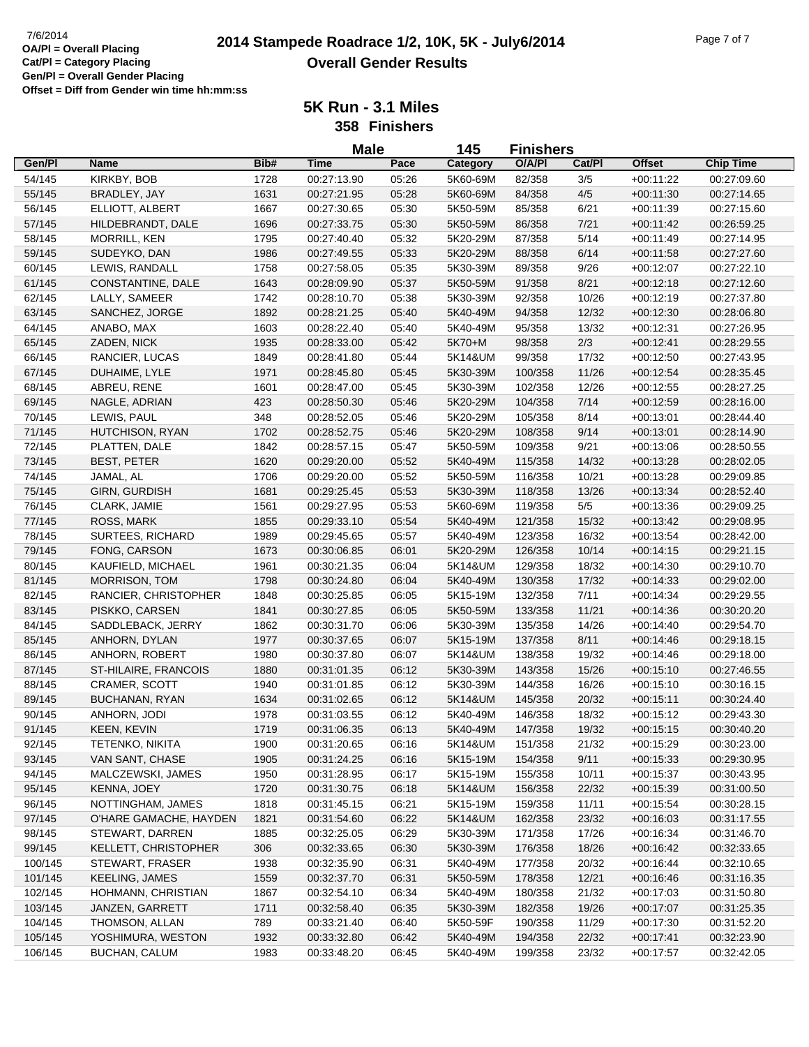# **2014 Stampede Roadrace 1/2, 10K, 5K - July6/2014** 7/6/2014 Page 7 of 7 **Overall Gender Results**

**5K Run - 3.1 Miles**

**358 Finishers**

|         |                         |      | <b>Male</b> |       | 145      | <b>Finishers</b> |        |               |                  |
|---------|-------------------------|------|-------------|-------|----------|------------------|--------|---------------|------------------|
| Gen/Pl  | <b>Name</b>             | Bib# | <b>Time</b> | Pace  | Category | O/A/PI           | Cat/Pl | <b>Offset</b> | <b>Chip Time</b> |
| 54/145  | KIRKBY, BOB             | 1728 | 00:27:13.90 | 05:26 | 5K60-69M | 82/358           | 3/5    | $+00:11:22$   | 00:27:09.60      |
| 55/145  | BRADLEY, JAY            | 1631 | 00:27:21.95 | 05:28 | 5K60-69M | 84/358           | 4/5    | $+00:11:30$   | 00:27:14.65      |
| 56/145  | ELLIOTT, ALBERT         | 1667 | 00:27:30.65 | 05:30 | 5K50-59M | 85/358           | 6/21   | $+00:11:39$   | 00:27:15.60      |
| 57/145  | HILDEBRANDT, DALE       | 1696 | 00:27:33.75 | 05:30 | 5K50-59M | 86/358           | 7/21   | $+00:11:42$   | 00:26:59.25      |
| 58/145  | MORRILL, KEN            | 1795 | 00:27:40.40 | 05:32 | 5K20-29M | 87/358           | 5/14   | $+00:11:49$   | 00:27:14.95      |
| 59/145  | SUDEYKO, DAN            | 1986 | 00:27:49.55 | 05:33 | 5K20-29M | 88/358           | 6/14   | $+00:11:58$   | 00:27:27.60      |
| 60/145  | LEWIS, RANDALL          | 1758 | 00:27:58.05 | 05:35 | 5K30-39M | 89/358           | 9/26   | $+00:12:07$   | 00:27:22.10      |
| 61/145  | CONSTANTINE, DALE       | 1643 | 00:28:09.90 | 05:37 | 5K50-59M | 91/358           | 8/21   | $+00:12:18$   | 00:27:12.60      |
| 62/145  | LALLY, SAMEER           | 1742 | 00:28:10.70 | 05:38 | 5K30-39M | 92/358           | 10/26  | $+00:12:19$   | 00:27:37.80      |
| 63/145  | SANCHEZ, JORGE          | 1892 | 00:28:21.25 | 05:40 | 5K40-49M | 94/358           | 12/32  | $+00:12:30$   | 00:28:06.80      |
| 64/145  | ANABO, MAX              | 1603 | 00:28:22.40 | 05:40 | 5K40-49M | 95/358           | 13/32  | $+00:12:31$   | 00:27:26.95      |
| 65/145  | ZADEN, NICK             | 1935 | 00:28:33.00 | 05:42 | 5K70+M   | 98/358           | 2/3    | $+00:12:41$   | 00:28:29.55      |
| 66/145  | RANCIER, LUCAS          | 1849 | 00:28:41.80 | 05:44 | 5K14&UM  | 99/358           | 17/32  | $+00:12:50$   | 00:27:43.95      |
| 67/145  | DUHAIME, LYLE           | 1971 | 00:28:45.80 | 05:45 | 5K30-39M | 100/358          | 11/26  | $+00:12:54$   | 00:28:35.45      |
| 68/145  | ABREU, RENE             | 1601 | 00:28:47.00 | 05:45 | 5K30-39M | 102/358          | 12/26  | $+00:12:55$   | 00:28:27.25      |
| 69/145  | NAGLE, ADRIAN           | 423  | 00:28:50.30 | 05:46 | 5K20-29M | 104/358          | 7/14   | $+00:12:59$   | 00:28:16.00      |
| 70/145  | LEWIS, PAUL             | 348  | 00:28:52.05 | 05:46 | 5K20-29M | 105/358          | 8/14   | $+00:13:01$   | 00:28:44.40      |
| 71/145  | HUTCHISON, RYAN         | 1702 | 00:28:52.75 | 05:46 | 5K20-29M | 108/358          | 9/14   | $+00:13:01$   | 00:28:14.90      |
| 72/145  | PLATTEN, DALE           | 1842 | 00:28:57.15 | 05:47 | 5K50-59M | 109/358          | 9/21   | $+00:13:06$   | 00:28:50.55      |
| 73/145  | <b>BEST, PETER</b>      | 1620 | 00:29:20.00 | 05:52 | 5K40-49M | 115/358          | 14/32  | $+00:13:28$   | 00:28:02.05      |
| 74/145  | JAMAL, AL               | 1706 | 00:29:20.00 | 05:52 | 5K50-59M | 116/358          | 10/21  | $+00:13:28$   | 00:29:09.85      |
| 75/145  | GIRN, GURDISH           | 1681 | 00:29:25.45 | 05:53 | 5K30-39M | 118/358          | 13/26  | $+00:13:34$   | 00:28:52.40      |
| 76/145  | CLARK, JAMIE            | 1561 | 00:29:27.95 | 05:53 | 5K60-69M | 119/358          | $5/5$  | $+00:13:36$   | 00:29:09.25      |
| 77/145  | ROSS, MARK              | 1855 | 00:29:33.10 | 05:54 | 5K40-49M | 121/358          | 15/32  | $+00:13:42$   | 00:29:08.95      |
| 78/145  | <b>SURTEES, RICHARD</b> | 1989 | 00:29:45.65 | 05:57 | 5K40-49M | 123/358          | 16/32  | $+00:13:54$   | 00:28:42.00      |
| 79/145  | FONG, CARSON            | 1673 | 00:30:06.85 | 06:01 | 5K20-29M | 126/358          | 10/14  | $+00:14:15$   | 00:29:21.15      |
| 80/145  | KAUFIELD, MICHAEL       | 1961 | 00:30:21.35 | 06:04 | 5K14&UM  | 129/358          | 18/32  | $+00:14:30$   | 00:29:10.70      |
| 81/145  | <b>MORRISON, TOM</b>    | 1798 | 00:30:24.80 | 06:04 | 5K40-49M | 130/358          | 17/32  | $+00:14:33$   | 00:29:02.00      |
| 82/145  | RANCIER, CHRISTOPHER    | 1848 | 00:30:25.85 | 06:05 | 5K15-19M | 132/358          | 7/11   | $+00:14:34$   | 00:29:29.55      |
| 83/145  | PISKKO, CARSEN          | 1841 | 00:30:27.85 | 06:05 | 5K50-59M | 133/358          | 11/21  | $+00:14:36$   | 00:30:20.20      |
| 84/145  | SADDLEBACK, JERRY       | 1862 | 00:30:31.70 | 06:06 | 5K30-39M | 135/358          | 14/26  | $+00:14:40$   | 00:29:54.70      |
| 85/145  | ANHORN, DYLAN           | 1977 | 00:30:37.65 | 06:07 | 5K15-19M | 137/358          | 8/11   | $+00:14:46$   | 00:29:18.15      |
| 86/145  | ANHORN, ROBERT          | 1980 | 00:30:37.80 | 06:07 | 5K14&UM  | 138/358          | 19/32  | $+00:14:46$   | 00:29:18.00      |
| 87/145  | ST-HILAIRE, FRANCOIS    | 1880 | 00:31:01.35 | 06:12 | 5K30-39M | 143/358          | 15/26  | $+00:15:10$   | 00:27:46.55      |
| 88/145  | <b>CRAMER, SCOTT</b>    | 1940 | 00:31:01.85 | 06:12 | 5K30-39M | 144/358          | 16/26  | $+00:15:10$   | 00:30:16.15      |
| 89/145  | BUCHANAN, RYAN          | 1634 | 00:31:02.65 | 06:12 | 5K14&UM  | 145/358          | 20/32  | $+00:15:11$   | 00:30:24.40      |
| 90/145  | ANHORN, JODI            | 1978 | 00:31:03.55 | 06:12 | 5K40-49M | 146/358          | 18/32  | $+00:15:12$   | 00:29:43.30      |
| 91/145  | KEEN, KEVIN             | 1719 | 00:31:06.35 | 06:13 | 5K40-49M | 147/358          | 19/32  | $+00:15:15$   | 00:30:40.20      |
| 92/145  | <b>TETENKO, NIKITA</b>  | 1900 | 00:31:20.65 | 06:16 | 5K14&UM  | 151/358          | 21/32  | $+00:15:29$   | 00:30:23.00      |
| 93/145  | VAN SANT, CHASE         | 1905 | 00:31:24.25 | 06:16 | 5K15-19M | 154/358          | 9/11   | $+00:15:33$   | 00:29:30.95      |
| 94/145  | MALCZEWSKI, JAMES       | 1950 | 00:31:28.95 | 06:17 | 5K15-19M | 155/358          | 10/11  | $+00:15:37$   | 00:30:43.95      |
| 95/145  | KENNA, JOEY             | 1720 | 00:31:30.75 | 06:18 | 5K14&UM  | 156/358          | 22/32  | $+00:15:39$   | 00:31:00.50      |
| 96/145  | NOTTINGHAM, JAMES       | 1818 | 00:31:45.15 | 06:21 | 5K15-19M | 159/358          | 11/11  | $+00:15:54$   | 00:30:28.15      |
| 97/145  | O'HARE GAMACHE, HAYDEN  | 1821 | 00:31:54.60 | 06:22 | 5K14&UM  | 162/358          | 23/32  | $+00:16:03$   | 00:31:17.55      |
| 98/145  | STEWART, DARREN         | 1885 | 00:32:25.05 | 06:29 | 5K30-39M | 171/358          | 17/26  | $+00.16.34$   | 00:31:46.70      |
| 99/145  | KELLETT, CHRISTOPHER    | 306  | 00:32:33.65 | 06:30 | 5K30-39M | 176/358          | 18/26  | $+00:16:42$   | 00:32:33.65      |
| 100/145 | STEWART, FRASER         | 1938 | 00:32:35.90 | 06:31 | 5K40-49M | 177/358          | 20/32  | $+00.16:44$   | 00:32:10.65      |
| 101/145 | <b>KEELING, JAMES</b>   | 1559 | 00:32:37.70 | 06:31 | 5K50-59M | 178/358          | 12/21  | $+00:16:46$   | 00:31:16.35      |
| 102/145 | HOHMANN, CHRISTIAN      | 1867 | 00:32:54.10 | 06:34 | 5K40-49M | 180/358          | 21/32  | $+00:17:03$   | 00:31:50.80      |
| 103/145 | JANZEN, GARRETT         | 1711 | 00:32:58.40 | 06:35 | 5K30-39M | 182/358          | 19/26  | $+00:17:07$   | 00:31:25.35      |
| 104/145 | THOMSON, ALLAN          | 789  | 00:33:21.40 | 06:40 | 5K50-59F | 190/358          | 11/29  | $+00:17:30$   | 00:31:52.20      |
| 105/145 | YOSHIMURA, WESTON       | 1932 | 00:33:32.80 | 06:42 | 5K40-49M | 194/358          | 22/32  | $+00:17:41$   | 00:32:23.90      |
| 106/145 | BUCHAN, CALUM           | 1983 | 00:33:48.20 | 06:45 | 5K40-49M | 199/358          | 23/32  | $+00:17:57$   | 00:32:42.05      |